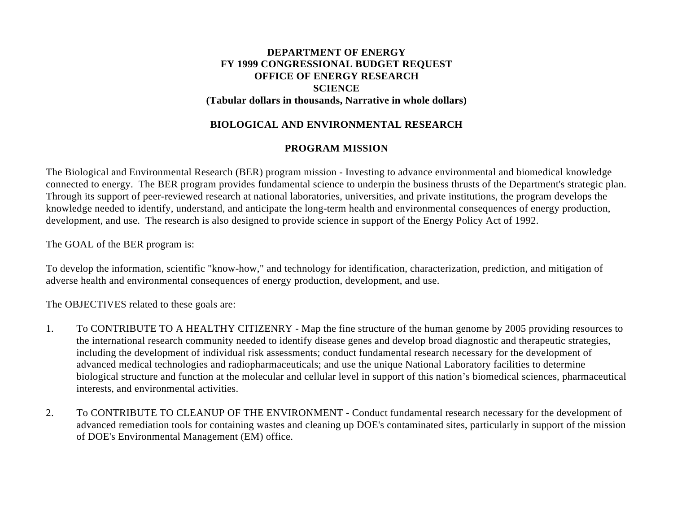# **DEPARTMENT OF ENERGY FY 1999 CONGRESSIONAL BUDGET REQUEST OFFICE OF ENERGY RESEARCH SCIENCE (Tabular dollars in thousands, Narrative in whole dollars)**

## **BIOLOGICAL AND ENVIRONMENTAL RESEARCH**

## **PROGRAM MISSION**

The Biological and Environmental Research (BER) program mission - Investing to advance environmental and biomedical knowledge connected to energy. The BER program provides fundamental science to underpin the business thrusts of the Department's strategic plan. Through its support of peer-reviewed research at national laboratories, universities, and private institutions, the program develops the knowledge needed to identify, understand, and anticipate the long-term health and environmental consequences of energy production, development, and use. The research is also designed to provide science in support of the Energy Policy Act of 1992.

The GOAL of the BER program is:

To develop the information, scientific "know-how," and technology for identification, characterization, prediction, and mitigation of adverse health and environmental consequences of energy production, development, and use.

The OBJECTIVES related to these goals are:

- 1. To CONTRIBUTE TO A HEALTHY CITIZENRY Map the fine structure of the human genome by 2005 providing resources to the international research community needed to identify disease genes and develop broad diagnostic and therapeutic strategies, including the development of individual risk assessments; conduct fundamental research necessary for the development of advanced medical technologies and radiopharmaceuticals; and use the unique National Laboratory facilities to determine biological structure and function at the molecular and cellular level in support of this nation's biomedical sciences, pharmaceutical interests, and environmental activities.
- 2. To CONTRIBUTE TO CLEANUP OF THE ENVIRONMENT Conduct fundamental research necessary for the development of advanced remediation tools for containing wastes and cleaning up DOE's contaminated sites, particularly in support of the mission of DOE's Environmental Management (EM) office.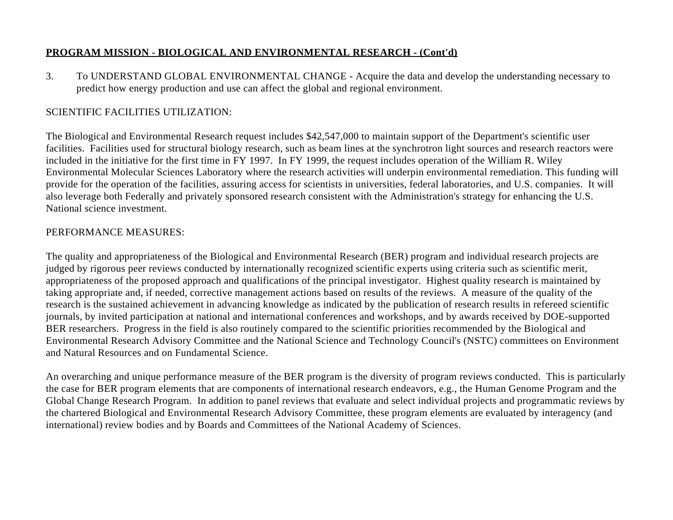3. To UNDERSTAND GLOBAL ENVIRONMENTAL CHANGE - Acquire the data and develop the understanding necessary to predict how energy production and use can affect the global and regional environment.

# SCIENTIFIC FACILITIES UTILIZATION:

The Biological and Environmental Research request includes \$42,547,000 to maintain support of the Department's scientific user facilities. Facilities used for structural biology research, such as beam lines at the synchrotron light sources and research reactors were included in the initiative for the first time in FY 1997. In FY 1999, the request includes operation of the William R. Wiley Environmental Molecular Sciences Laboratory where the research activities will underpin environmental remediation. This funding will provide for the operation of the facilities, assuring access for scientists in universities, federal laboratories, and U.S. companies. It will also leverage both Federally and privately sponsored research consistent with the Administration's strategy for enhancing the U.S. National science investment.

# PERFORMANCE MEASURES:

The quality and appropriateness of the Biological and Environmental Research (BER) program and individual research projects are judged by rigorous peer reviews conducted by internationally recognized scientific experts using criteria such as scientific merit, appropriateness of the proposed approach and qualifications of the principal investigator. Highest quality research is maintained by taking appropriate and, if needed, corrective management actions based on results of the reviews. A measure of the quality of the research is the sustained achievement in advancing knowledge as indicated by the publication of research results in refereed scientific journals, by invited participation at national and international conferences and workshops, and by awards received by DOE-supported BER researchers. Progress in the field is also routinely compared to the scientific priorities recommended by the Biological and Environmental Research Advisory Committee and the National Science and Technology Council's (NSTC) committees on Environment and Natural Resources and on Fundamental Science.

An overarching and unique performance measure of the BER program is the diversity of program reviews conducted. This is particularly the case for BER program elements that are components of international research endeavors, e.g., the Human Genome Program and the Global Change Research Program. In addition to panel reviews that evaluate and select individual projects and programmatic reviews by the chartered Biological and Environmental Research Advisory Committee, these program elements are evaluated by interagency (and international) review bodies and by Boards and Committees of the National Academy of Sciences.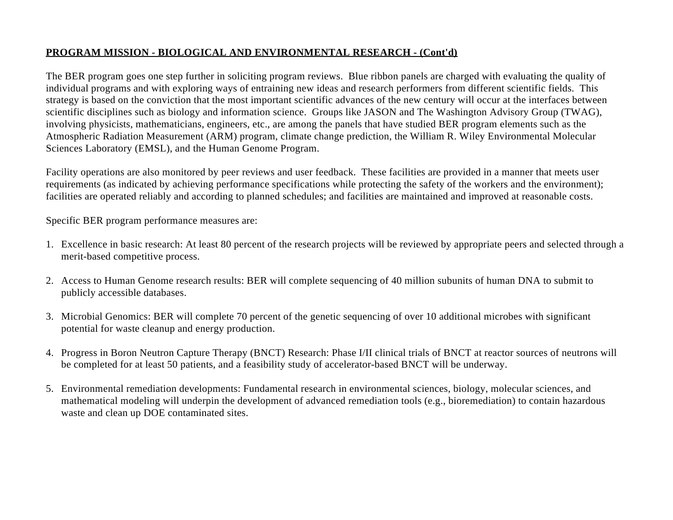The BER program goes one step further in soliciting program reviews. Blue ribbon panels are charged with evaluating the quality of individual programs and with exploring ways of entraining new ideas and research performers from different scientific fields. This strategy is based on the conviction that the most important scientific advances of the new century will occur at the interfaces between scientific disciplines such as biology and information science. Groups like JASON and The Washington Advisory Group (TWAG), involving physicists, mathematicians, engineers, etc., are among the panels that have studied BER program elements such as the Atmospheric Radiation Measurement (ARM) program, climate change prediction, the William R. Wiley Environmental Molecular Sciences Laboratory (EMSL), and the Human Genome Program.

Facility operations are also monitored by peer reviews and user feedback. These facilities are provided in a manner that meets user requirements (as indicated by achieving performance specifications while protecting the safety of the workers and the environment); facilities are operated reliably and according to planned schedules; and facilities are maintained and improved at reasonable costs.

Specific BER program performance measures are:

- 1. Excellence in basic research: At least 80 percent of the research projects will be reviewed by appropriate peers and selected through a merit-based competitive process.
- 2. Access to Human Genome research results: BER will complete sequencing of 40 million subunits of human DNA to submit to publicly accessible databases.
- 3. Microbial Genomics: BER will complete 70 percent of the genetic sequencing of over 10 additional microbes with significant potential for waste cleanup and energy production.
- 4. Progress in Boron Neutron Capture Therapy (BNCT) Research: Phase I/II clinical trials of BNCT at reactor sources of neutrons will be completed for at least 50 patients, and a feasibility study of accelerator-based BNCT will be underway.
- 5. Environmental remediation developments: Fundamental research in environmental sciences, biology, molecular sciences, and mathematical modeling will underpin the development of advanced remediation tools (e.g., bioremediation) to contain hazardous waste and clean up DOE contaminated sites.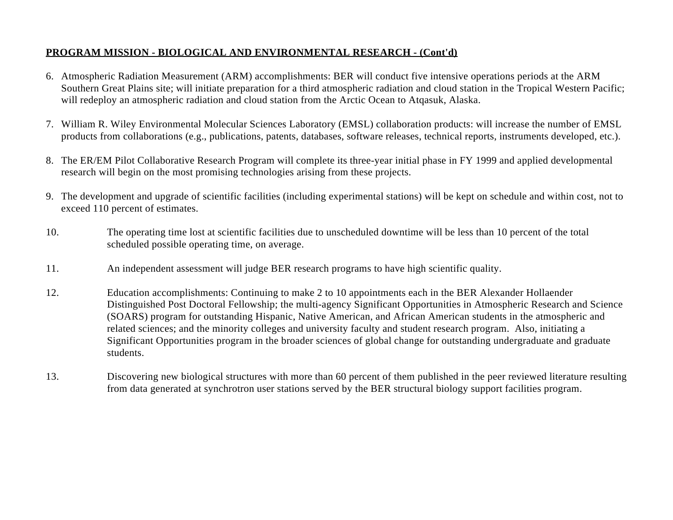- 6. Atmospheric Radiation Measurement (ARM) accomplishments: BER will conduct five intensive operations periods at the ARM Southern Great Plains site; will initiate preparation for a third atmospheric radiation and cloud station in the Tropical Western Pacific; will redeploy an atmospheric radiation and cloud station from the Arctic Ocean to Atqasuk, Alaska.
- 7. William R. Wiley Environmental Molecular Sciences Laboratory (EMSL) collaboration products: will increase the number of EMSL products from collaborations (e.g., publications, patents, databases, software releases, technical reports, instruments developed, etc.).
- 8. The ER/EM Pilot Collaborative Research Program will complete its three-year initial phase in FY 1999 and applied developmental research will begin on the most promising technologies arising from these projects.
- 9. The development and upgrade of scientific facilities (including experimental stations) will be kept on schedule and within cost, not to exceed 110 percent of estimates.
- 10. The operating time lost at scientific facilities due to unscheduled downtime will be less than 10 percent of the total scheduled possible operating time, on average.
- 11. An independent assessment will judge BER research programs to have high scientific quality.
- 12. Education accomplishments: Continuing to make 2 to 10 appointments each in the BER Alexander Hollaender Distinguished Post Doctoral Fellowship; the multi-agency Significant Opportunities in Atmospheric Research and Science (SOARS) program for outstanding Hispanic, Native American, and African American students in the atmospheric and related sciences; and the minority colleges and university faculty and student research program. Also, initiating a Significant Opportunities program in the broader sciences of global change for outstanding undergraduate and graduate students.
- 13. Discovering new biological structures with more than 60 percent of them published in the peer reviewed literature resulting from data generated at synchrotron user stations served by the BER structural biology support facilities program.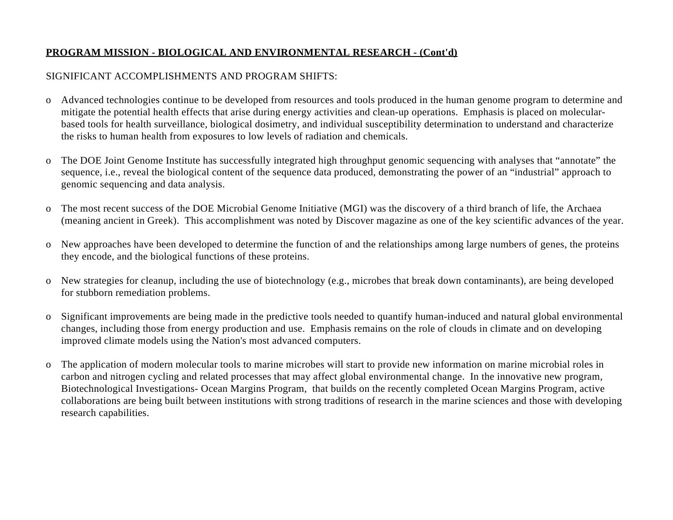# SIGNIFICANT ACCOMPLISHMENTS AND PROGRAM SHIFTS:

- o Advanced technologies continue to be developed from resources and tools produced in the human genome program to determine and mitigate the potential health effects that arise during energy activities and clean-up operations. Emphasis is placed on molecularbased tools for health surveillance, biological dosimetry, and individual susceptibility determination to understand and characterize the risks to human health from exposures to low levels of radiation and chemicals.
- o The DOE Joint Genome Institute has successfully integrated high throughput genomic sequencing with analyses that "annotate" the sequence, i.e., reveal the biological content of the sequence data produced, demonstrating the power of an "industrial" approach to genomic sequencing and data analysis.
- o The most recent success of the DOE Microbial Genome Initiative (MGI) was the discovery of a third branch of life, the Archaea (meaning ancient in Greek). This accomplishment was noted by Discover magazine as one of the key scientific advances of the year.
- o New approaches have been developed to determine the function of and the relationships among large numbers of genes, the proteins they encode, and the biological functions of these proteins.
- o New strategies for cleanup, including the use of biotechnology (e.g., microbes that break down contaminants), are being developed for stubborn remediation problems.
- o Significant improvements are being made in the predictive tools needed to quantify human-induced and natural global environmental changes, including those from energy production and use. Emphasis remains on the role of clouds in climate and on developing improved climate models using the Nation's most advanced computers.
- o The application of modern molecular tools to marine microbes will start to provide new information on marine microbial roles in carbon and nitrogen cycling and related processes that may affect global environmental change. In the innovative new program, Biotechnological Investigations- Ocean Margins Program, that builds on the recently completed Ocean Margins Program, active collaborations are being built between institutions with strong traditions of research in the marine sciences and those with developing research capabilities.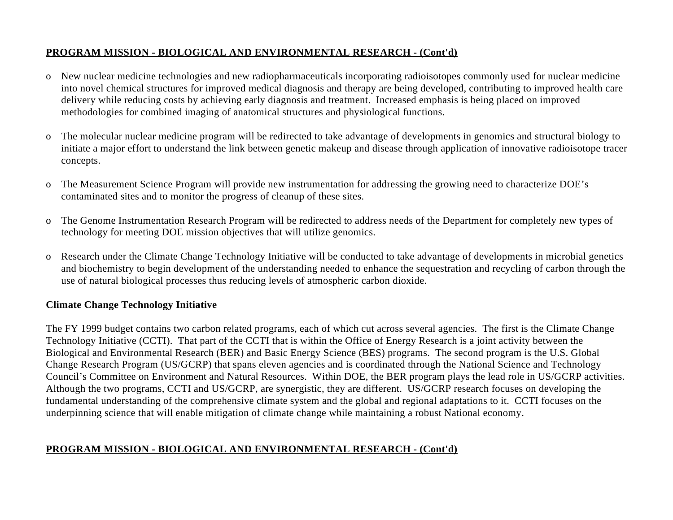- o New nuclear medicine technologies and new radiopharmaceuticals incorporating radioisotopes commonly used for nuclear medicine into novel chemical structures for improved medical diagnosis and therapy are being developed, contributing to improved health care delivery while reducing costs by achieving early diagnosis and treatment. Increased emphasis is being placed on improved methodologies for combined imaging of anatomical structures and physiological functions.
- o The molecular nuclear medicine program will be redirected to take advantage of developments in genomics and structural biology to initiate a major effort to understand the link between genetic makeup and disease through application of innovative radioisotope tracer concepts.
- o The Measurement Science Program will provide new instrumentation for addressing the growing need to characterize DOE's contaminated sites and to monitor the progress of cleanup of these sites.
- o The Genome Instrumentation Research Program will be redirected to address needs of the Department for completely new types of technology for meeting DOE mission objectives that will utilize genomics.
- o Research under the Climate Change Technology Initiative will be conducted to take advantage of developments in microbial genetics and biochemistry to begin development of the understanding needed to enhance the sequestration and recycling of carbon through the use of natural biological processes thus reducing levels of atmospheric carbon dioxide.

# **Climate Change Technology Initiative**

The FY 1999 budget contains two carbon related programs, each of which cut across several agencies. The first is the Climate Change Technology Initiative (CCTI). That part of the CCTI that is within the Office of Energy Research is a joint activity between the Biological and Environmental Research (BER) and Basic Energy Science (BES) programs. The second program is the U.S. Global Change Research Program (US/GCRP) that spans eleven agencies and is coordinated through the National Science and Technology Council's Committee on Environment and Natural Resources. Within DOE, the BER program plays the lead role in US/GCRP activities. Although the two programs, CCTI and US/GCRP, are synergistic, they are different. US/GCRP research focuses on developing the fundamental understanding of the comprehensive climate system and the global and regional adaptations to it. CCTI focuses on the underpinning science that will enable mitigation of climate change while maintaining a robust National economy.

# **PROGRAM MISSION - BIOLOGICAL AND ENVIRONMENTAL RESEARCH - (Cont'd)**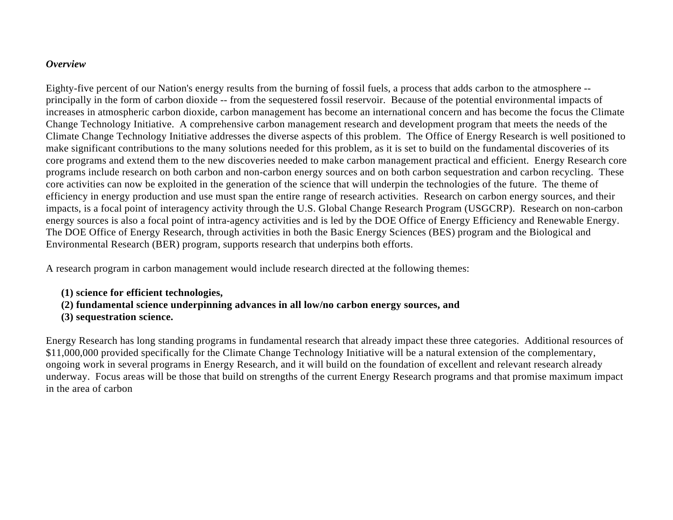### *Overview*

Eighty-five percent of our Nation's energy results from the burning of fossil fuels, a process that adds carbon to the atmosphere - principally in the form of carbon dioxide -- from the sequestered fossil reservoir. Because of the potential environmental impacts of increases in atmospheric carbon dioxide, carbon management has become an international concern and has become the focus the Climate Change Technology Initiative. A comprehensive carbon management research and development program that meets the needs of the Climate Change Technology Initiative addresses the diverse aspects of this problem. The Office of Energy Research is well positioned to make significant contributions to the many solutions needed for this problem, as it is set to build on the fundamental discoveries of its core programs and extend them to the new discoveries needed to make carbon management practical and efficient. Energy Research core programs include research on both carbon and non-carbon energy sources and on both carbon sequestration and carbon recycling. These core activities can now be exploited in the generation of the science that will underpin the technologies of the future. The theme of efficiency in energy production and use must span the entire range of research activities. Research on carbon energy sources, and their impacts, is a focal point of interagency activity through the U.S. Global Change Research Program (USGCRP). Research on non-carbon energy sources is also a focal point of intra-agency activities and is led by the DOE Office of Energy Efficiency and Renewable Energy. The DOE Office of Energy Research, through activities in both the Basic Energy Sciences (BES) program and the Biological and Environmental Research (BER) program, supports research that underpins both efforts.

A research program in carbon management would include research directed at the following themes:

- **(1) science for efficient technologies,**
- **(2) fundamental science underpinning advances in all low/no carbon energy sources, and**
- **(3) sequestration science.**

Energy Research has long standing programs in fundamental research that already impact these three categories. Additional resources of \$11,000,000 provided specifically for the Climate Change Technology Initiative will be a natural extension of the complementary, ongoing work in several programs in Energy Research, and it will build on the foundation of excellent and relevant research already underway. Focus areas will be those that build on strengths of the current Energy Research programs and that promise maximum impact in the area of carbon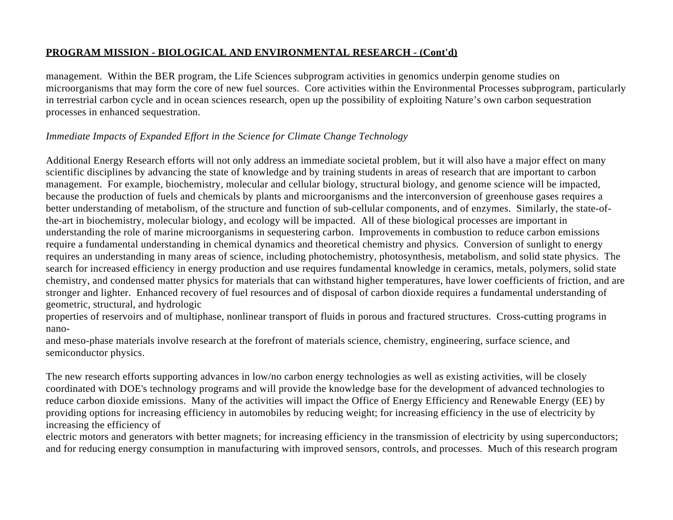management. Within the BER program, the Life Sciences subprogram activities in genomics underpin genome studies on microorganisms that may form the core of new fuel sources. Core activities within the Environmental Processes subprogram, particularly in terrestrial carbon cycle and in ocean sciences research, open up the possibility of exploiting Nature's own carbon sequestration processes in enhanced sequestration.

# *Immediate Impacts of Expanded Effort in the Science for Climate Change Technology*

Additional Energy Research efforts will not only address an immediate societal problem, but it will also have a major effect on many scientific disciplines by advancing the state of knowledge and by training students in areas of research that are important to carbon management. For example, biochemistry, molecular and cellular biology, structural biology, and genome science will be impacted, because the production of fuels and chemicals by plants and microorganisms and the interconversion of greenhouse gases requires a better understanding of metabolism, of the structure and function of sub-cellular components, and of enzymes. Similarly, the state-ofthe-art in biochemistry, molecular biology, and ecology will be impacted. All of these biological processes are important in understanding the role of marine microorganisms in sequestering carbon. Improvements in combustion to reduce carbon emissions require a fundamental understanding in chemical dynamics and theoretical chemistry and physics. Conversion of sunlight to energy requires an understanding in many areas of science, including photochemistry, photosynthesis, metabolism, and solid state physics. The search for increased efficiency in energy production and use requires fundamental knowledge in ceramics, metals, polymers, solid state chemistry, and condensed matter physics for materials that can withstand higher temperatures, have lower coefficients of friction, and are stronger and lighter. Enhanced recovery of fuel resources and of disposal of carbon dioxide requires a fundamental understanding of geometric, structural, and hydrologic

properties of reservoirs and of multiphase, nonlinear transport of fluids in porous and fractured structures. Cross-cutting programs in nano-

and meso-phase materials involve research at the forefront of materials science, chemistry, engineering, surface science, and semiconductor physics.

The new research efforts supporting advances in low/no carbon energy technologies as well as existing activities, will be closely coordinated with DOE's technology programs and will provide the knowledge base for the development of advanced technologies to reduce carbon dioxide emissions. Many of the activities will impact the Office of Energy Efficiency and Renewable Energy (EE) by providing options for increasing efficiency in automobiles by reducing weight; for increasing efficiency in the use of electricity by increasing the efficiency of

electric motors and generators with better magnets; for increasing efficiency in the transmission of electricity by using superconductors; and for reducing energy consumption in manufacturing with improved sensors, controls, and processes. Much of this research program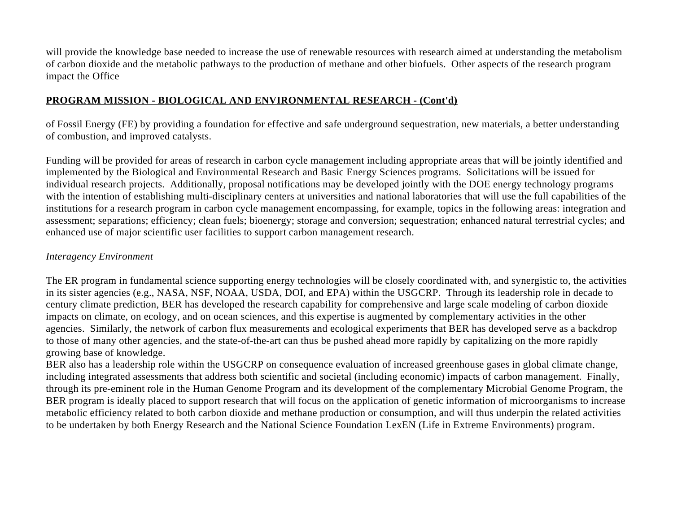will provide the knowledge base needed to increase the use of renewable resources with research aimed at understanding the metabolism of carbon dioxide and the metabolic pathways to the production of methane and other biofuels. Other aspects of the research program impact the Office

## **PROGRAM MISSION - BIOLOGICAL AND ENVIRONMENTAL RESEARCH - (Cont'd)**

of Fossil Energy (FE) by providing a foundation for effective and safe underground sequestration, new materials, a better understanding of combustion, and improved catalysts.

Funding will be provided for areas of research in carbon cycle management including appropriate areas that will be jointly identified and implemented by the Biological and Environmental Research and Basic Energy Sciences programs. Solicitations will be issued for individual research projects. Additionally, proposal notifications may be developed jointly with the DOE energy technology programs with the intention of establishing multi-disciplinary centers at universities and national laboratories that will use the full capabilities of the institutions for a research program in carbon cycle management encompassing, for example, topics in the following areas: integration and assessment; separations; efficiency; clean fuels; bioenergy; storage and conversion; sequestration; enhanced natural terrestrial cycles; and enhanced use of major scientific user facilities to support carbon management research.

## *Interagency Environment*

The ER program in fundamental science supporting energy technologies will be closely coordinated with, and synergistic to, the activities in its sister agencies (e.g., NASA, NSF, NOAA, USDA, DOI, and EPA) within the USGCRP. Through its leadership role in decade to century climate prediction, BER has developed the research capability for comprehensive and large scale modeling of carbon dioxide impacts on climate, on ecology, and on ocean sciences, and this expertise is augmented by complementary activities in the other agencies. Similarly, the network of carbon flux measurements and ecological experiments that BER has developed serve as a backdrop to those of many other agencies, and the state-of-the-art can thus be pushed ahead more rapidly by capitalizing on the more rapidly growing base of knowledge.

BER also has a leadership role within the USGCRP on consequence evaluation of increased greenhouse gases in global climate change, including integrated assessments that address both scientific and societal (including economic) impacts of carbon management. Finally, through its pre-eminent role in the Human Genome Program and its development of the complementary Microbial Genome Program, the BER program is ideally placed to support research that will focus on the application of genetic information of microorganisms to increase metabolic efficiency related to both carbon dioxide and methane production or consumption, and will thus underpin the related activities to be undertaken by both Energy Research and the National Science Foundation LexEN (Life in Extreme Environments) program.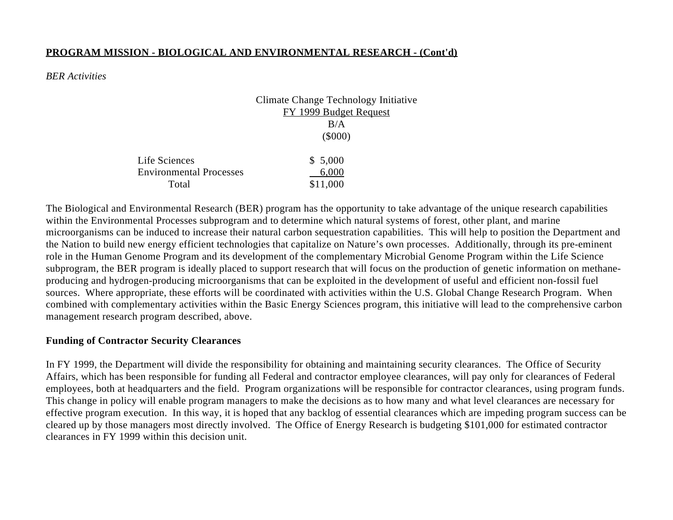Total \$11,000

### *BER Activities*

Climate Change Technology Initiative FY 1999 Budget Request  $B/A$ (\$000) Life Sciences \$ 5,000 Environmental Processes 6,000

The Biological and Environmental Research (BER) program has the opportunity to take advantage of the unique research capabilities within the Environmental Processes subprogram and to determine which natural systems of forest, other plant, and marine microorganisms can be induced to increase their natural carbon sequestration capabilities. This will help to position the Department and the Nation to build new energy efficient technologies that capitalize on Nature's own processes. Additionally, through its pre-eminent role in the Human Genome Program and its development of the complementary Microbial Genome Program within the Life Science subprogram, the BER program is ideally placed to support research that will focus on the production of genetic information on methaneproducing and hydrogen-producing microorganisms that can be exploited in the development of useful and efficient non-fossil fuel sources. Where appropriate, these efforts will be coordinated with activities within the U.S. Global Change Research Program. When combined with complementary activities within the Basic Energy Sciences program, this initiative will lead to the comprehensive carbon management research program described, above.

### **Funding of Contractor Security Clearances**

In FY 1999, the Department will divide the responsibility for obtaining and maintaining security clearances. The Office of Security Affairs, which has been responsible for funding all Federal and contractor employee clearances, will pay only for clearances of Federal employees, both at headquarters and the field. Program organizations will be responsible for contractor clearances, using program funds. This change in policy will enable program managers to make the decisions as to how many and what level clearances are necessary for effective program execution. In this way, it is hoped that any backlog of essential clearances which are impeding program success can be cleared up by those managers most directly involved. The Office of Energy Research is budgeting \$101,000 for estimated contractor clearances in FY 1999 within this decision unit.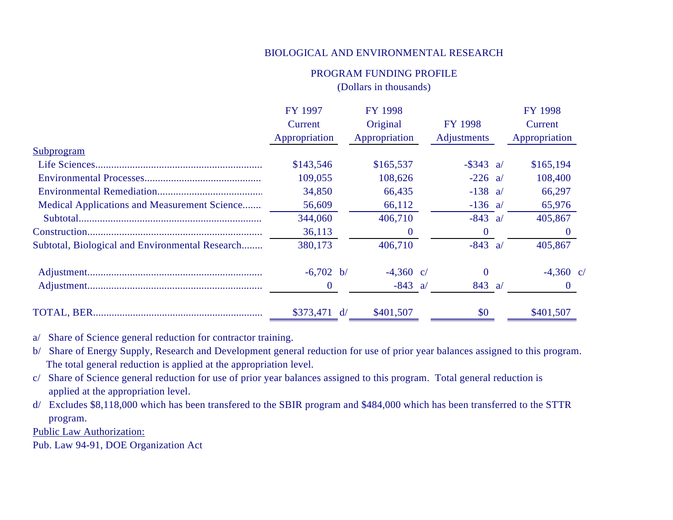## PROGRAM FUNDING PROFILE (Dollars in thousands)

| <b>FY 1997</b> | FY 1998       |                                     | FY 1998 |                                                                                         |  |
|----------------|---------------|-------------------------------------|---------|-----------------------------------------------------------------------------------------|--|
| Current        | Original      | <b>FY 1998</b>                      |         | Current                                                                                 |  |
| Appropriation  | Appropriation | Adjustments                         |         | Appropriation                                                                           |  |
|                |               |                                     |         |                                                                                         |  |
| \$143,546      | \$165,537     |                                     |         | \$165,194                                                                               |  |
| 109,055        | 108,626       |                                     |         | 108,400                                                                                 |  |
| 34,850         | 66,435        |                                     |         | 66,297                                                                                  |  |
| 56,609         | 66,112        |                                     |         | 65,976                                                                                  |  |
| 344,060        | 406,710       |                                     |         | 405,867                                                                                 |  |
| 36,113         | $\theta$      | $\theta$                            |         | $\theta$                                                                                |  |
| 380,173        | 406,710       |                                     |         | 405,867                                                                                 |  |
|                | $-4,360$ c/   | $\Omega$                            |         | $-4,360$ c/                                                                             |  |
| $\theta$       | $-843$ a/     |                                     |         | $\Omega$                                                                                |  |
|                | \$401,507     | \$0                                 |         | \$401,507                                                                               |  |
|                |               | $-6,702$ b/<br>$$373,471 \text{ d}$ |         | $-$ \$343 a/<br>$-226$ a/<br>$-138$ a/<br>$-136$ a/<br>$-843$ a/<br>$-843$ a/<br>843 a/ |  |

a/ Share of Science general reduction for contractor training.

b/ Share of Energy Supply, Research and Development general reduction for use of prior year balances assigned to this program. The total general reduction is applied at the appropriation level.

c/ Share of Science general reduction for use of prior year balances assigned to this program. Total general reduction is applied at the appropriation level.

d/ Excludes \$8,118,000 which has been transfered to the SBIR program and \$484,000 which has been transferred to the STTR program.

Public Law Authorization:

Pub. Law 94-91, DOE Organization Act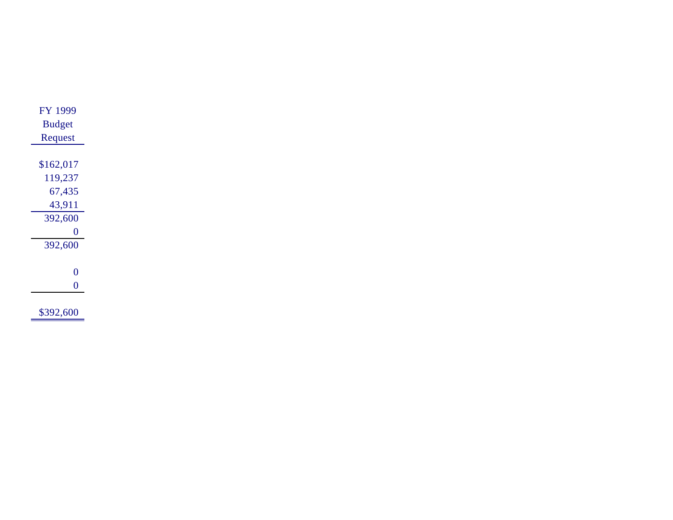| <b>FY 1999</b> |
|----------------|
| <b>Budget</b>  |
| Request        |
|                |
| \$162,017      |
| 119,237        |
| 67,435         |
| 43,911         |
| 392,600        |
| 0              |
| 392,600        |
|                |
| 0              |
| 0              |
|                |
| \$392,600      |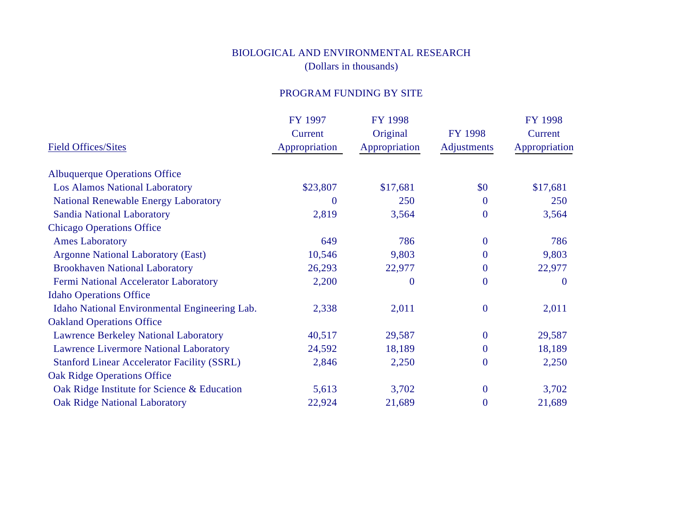# BIOLOGICAL AND ENVIRONMENTAL RESEARCH (Dollars in thousands)

# PROGRAM FUNDING BY SITE

|                                                    | FY 1997       | FY 1998       |                  | <b>FY 1998</b> |
|----------------------------------------------------|---------------|---------------|------------------|----------------|
|                                                    | Current       | Original      | <b>FY 1998</b>   | Current        |
| <b>Field Offices/Sites</b>                         | Appropriation | Appropriation | Adjustments      | Appropriation  |
| <b>Albuquerque Operations Office</b>               |               |               |                  |                |
| <b>Los Alamos National Laboratory</b>              | \$23,807      | \$17,681      | \$0              | \$17,681       |
| <b>National Renewable Energy Laboratory</b>        | $\Omega$      | 250           | $\boldsymbol{0}$ | 250            |
| <b>Sandia National Laboratory</b>                  | 2,819         | 3,564         | $\boldsymbol{0}$ | 3,564          |
| <b>Chicago Operations Office</b>                   |               |               |                  |                |
| <b>Ames Laboratory</b>                             | 649           | 786           | $\mathbf{0}$     | 786            |
| <b>Argonne National Laboratory (East)</b>          | 10,546        | 9,803         | $\overline{0}$   | 9,803          |
| <b>Brookhaven National Laboratory</b>              | 26,293        | 22,977        | $\boldsymbol{0}$ | 22,977         |
| Fermi National Accelerator Laboratory              | 2,200         | $\Omega$      | $\overline{0}$   | $\bf{0}$       |
| <b>Idaho Operations Office</b>                     |               |               |                  |                |
| Idaho National Environmental Engineering Lab.      | 2,338         | 2,011         | $\boldsymbol{0}$ | 2,011          |
| <b>Oakland Operations Office</b>                   |               |               |                  |                |
| <b>Lawrence Berkeley National Laboratory</b>       | 40,517        | 29,587        | $\boldsymbol{0}$ | 29,587         |
| <b>Lawrence Livermore National Laboratory</b>      | 24,592        | 18,189        | $\boldsymbol{0}$ | 18,189         |
| <b>Stanford Linear Accelerator Facility (SSRL)</b> | 2,846         | 2,250         | $\boldsymbol{0}$ | 2,250          |
| <b>Oak Ridge Operations Office</b>                 |               |               |                  |                |
| Oak Ridge Institute for Science & Education        | 5,613         | 3,702         | $\boldsymbol{0}$ | 3,702          |
| <b>Oak Ridge National Laboratory</b>               | 22,924        | 21,689        | $\boldsymbol{0}$ | 21,689         |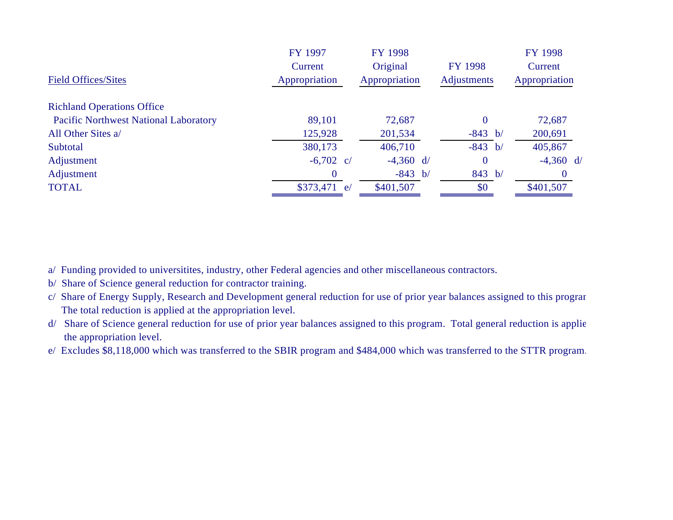|                                              | FY 1997       | <b>FY 1998</b> |                | <b>FY 1998</b> |
|----------------------------------------------|---------------|----------------|----------------|----------------|
|                                              | Current       | Original       | <b>FY 1998</b> | Current        |
| <b>Field Offices/Sites</b>                   | Appropriation | Appropriation  | Adjustments    | Appropriation  |
| <b>Richland Operations Office</b>            |               |                |                |                |
| <b>Pacific Northwest National Laboratory</b> | 89,101        | 72,687         | $\Omega$       | 72,687         |
| All Other Sites a/                           | 125,928       | 201,534        | $-843 b/$      | 200,691        |
| Subtotal                                     | 380,173       | 406,710        | $-843 b/$      | 405,867        |
| Adjustment                                   | $-6,702$ c/   | $-4,360$ d/    | $\Omega$       | $-4,360$ d/    |
| Adjustment                                   | $\Omega$      | $-843 b/$      | 843 b/         | $\Omega$       |
| <b>TOTAL</b>                                 | $$373,471$ e/ | \$401,507      | \$0            | \$401,507      |
|                                              |               |                |                |                |

a/ Funding provided to universitites, industry, other Federal agencies and other miscellaneous contractors.

- b/ Share of Science general reduction for contractor training.
- c/ Share of Energy Supply, Research and Development general reduction for use of prior year balances assigned to this program. The total reduction is applied at the appropriation level.
- d/ Share of Science general reduction for use of prior year balances assigned to this program. Total general reduction is applie the appropriation level.
- e/ Excludes \$8,118,000 which was transferred to the SBIR program and \$484,000 which was transferred to the STTR program.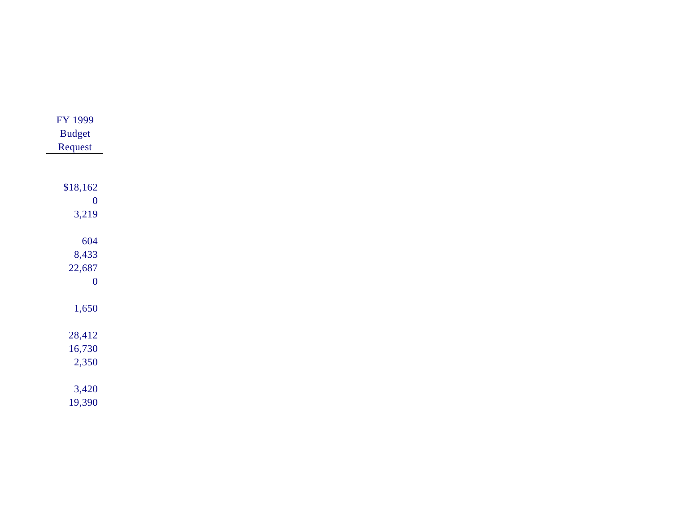| FY 1999          |
|------------------|
| <b>Budget</b>    |
| Request          |
|                  |
|                  |
| \$18,162         |
| $\boldsymbol{0}$ |
| 3,219            |
|                  |
| 604              |
| 8,433            |
| 22,687           |
| $\boldsymbol{0}$ |
|                  |
| 1,650            |
|                  |
| 28,412           |
| 16,730           |
| 2,350            |
|                  |
| 3,420            |
| 19,390           |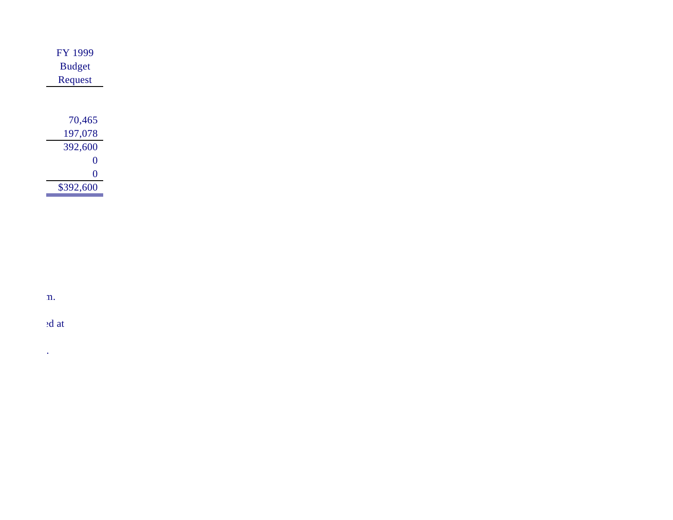| FY 1999       |
|---------------|
| <b>Budget</b> |
| Request       |
|               |
|               |
| 70,465        |
| 197,078       |
| 392,600       |
| 0             |
| 0             |
| \$392,600     |

÷

ch/ Share of Energy Supply, Research and Development general reduction for  $n$ .

d/ Share of Science general reduction for  $\mathcal{B}$  at

e/ Excludes \$8,118,000 which was transferred to the SBIR program and \$484,000 which was transferred to the STTR program.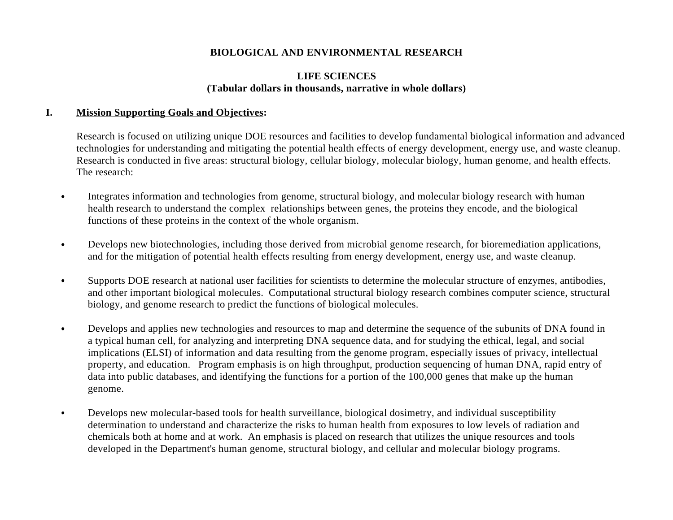## **LIFE SCIENCES (Tabular dollars in thousands, narrative in whole dollars)**

### **I. Mission Supporting Goals and Objectives:**

Research is focused on utilizing unique DOE resources and facilities to develop fundamental biological information and advanced technologies for understanding and mitigating the potential health effects of energy development, energy use, and waste cleanup. Research is conducted in five areas: structural biology, cellular biology, molecular biology, human genome, and health effects. The research:

- Integrates information and technologies from genome, structural biology, and molecular biology research with human health research to understand the complex relationships between genes, the proteins they encode, and the biological functions of these proteins in the context of the whole organism.
- Develops new biotechnologies, including those derived from microbial genome research, for bioremediation applications,  $\bullet$ and for the mitigation of potential health effects resulting from energy development, energy use, and waste cleanup.
- Supports DOE research at national user facilities for scientists to determine the molecular structure of enzymes, antibodies,  $\bullet$ and other important biological molecules. Computational structural biology research combines computer science, structural biology, and genome research to predict the functions of biological molecules.
- Develops and applies new technologies and resources to map and determine the sequence of the subunits of DNA found in  $\bullet$ a typical human cell, for analyzing and interpreting DNA sequence data, and for studying the ethical, legal, and social implications (ELSI) of information and data resulting from the genome program, especially issues of privacy, intellectual property, and education. Program emphasis is on high throughput, production sequencing of human DNA, rapid entry of data into public databases, and identifying the functions for a portion of the 100,000 genes that make up the human genome.
- Develops new molecular-based tools for health surveillance, biological dosimetry, and individual susceptibility  $\bullet$ determination to understand and characterize the risks to human health from exposures to low levels of radiation and chemicals both at home and at work. An emphasis is placed on research that utilizes the unique resources and tools developed in the Department's human genome, structural biology, and cellular and molecular biology programs.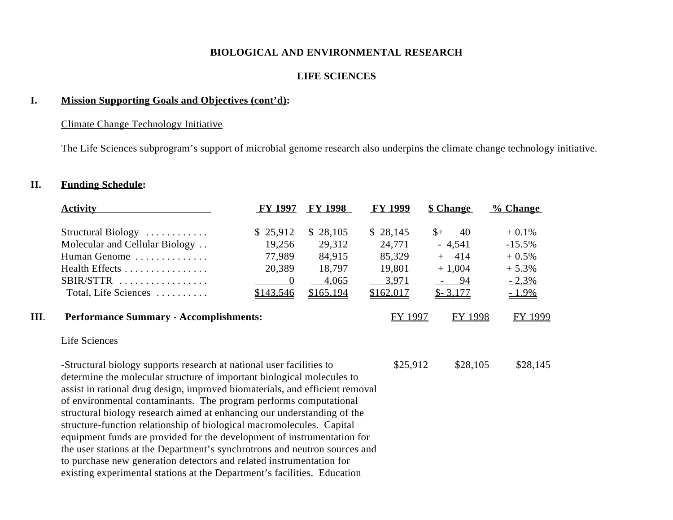## **LIFE SCIENCES**

# **I. Mission Supporting Goals and Objectives (cont'd):**

# Climate Change Technology Initiative

The Life Sciences subprogram's support of microbial genome research also underpins the climate change technology initiative.

# **II. Funding Schedule:**

|    | <b>Activity</b>                                                                                                                                                                                                                                                                                                                                                                                                                                                                                                                                                                                                                                                                                                                                                      | <b>FY 1997</b> | <b>FY 1998</b> | <b>FY 1999</b> | <b>\$ Change</b>    | % Change |
|----|----------------------------------------------------------------------------------------------------------------------------------------------------------------------------------------------------------------------------------------------------------------------------------------------------------------------------------------------------------------------------------------------------------------------------------------------------------------------------------------------------------------------------------------------------------------------------------------------------------------------------------------------------------------------------------------------------------------------------------------------------------------------|----------------|----------------|----------------|---------------------|----------|
|    | Structural Biology                                                                                                                                                                                                                                                                                                                                                                                                                                                                                                                                                                                                                                                                                                                                                   | \$25,912       | \$28,105       | \$28,145       | 40<br>$\frac{1}{2}$ | $+0.1%$  |
|    | Molecular and Cellular Biology                                                                                                                                                                                                                                                                                                                                                                                                                                                                                                                                                                                                                                                                                                                                       | 19,256         | 29,312         | 24,771         | $-4,541$            | $-15.5%$ |
|    | Human Genome                                                                                                                                                                                                                                                                                                                                                                                                                                                                                                                                                                                                                                                                                                                                                         | 77,989         | 84,915         | 85,329         | $+ 414$             | $+0.5%$  |
|    | Health Effects                                                                                                                                                                                                                                                                                                                                                                                                                                                                                                                                                                                                                                                                                                                                                       | 20,389         | 18,797         | 19,801         | $+1,004$            | $+5.3%$  |
|    | $SBIR/STTR$                                                                                                                                                                                                                                                                                                                                                                                                                                                                                                                                                                                                                                                                                                                                                          | $\overline{0}$ | 4,065          | 3.971          | $-94$               | $-2.3%$  |
|    | Total, Life Sciences                                                                                                                                                                                                                                                                                                                                                                                                                                                                                                                                                                                                                                                                                                                                                 | \$143,546      | \$165,194      | \$162,017      | $$-3,177$           | $-1.9\%$ |
| Ш. | <b>Performance Summary - Accomplishments:</b>                                                                                                                                                                                                                                                                                                                                                                                                                                                                                                                                                                                                                                                                                                                        |                |                | FY 1997        | FY 1998             | FY 1999  |
|    | <b>Life Sciences</b>                                                                                                                                                                                                                                                                                                                                                                                                                                                                                                                                                                                                                                                                                                                                                 |                |                |                |                     |          |
|    | -Structural biology supports research at national user facilities to<br>determine the molecular structure of important biological molecules to<br>assist in rational drug design, improved biomaterials, and efficient removal<br>of environmental contaminants. The program performs computational<br>structural biology research aimed at enhancing our understanding of the<br>structure-function relationship of biological macromolecules. Capital<br>equipment funds are provided for the development of instrumentation for<br>the user stations at the Department's synchrotrons and neutron sources and<br>to purchase new generation detectors and related instrumentation for<br>existing experimental stations at the Department's facilities. Education |                |                | \$25,912       | \$28,105            | \$28,145 |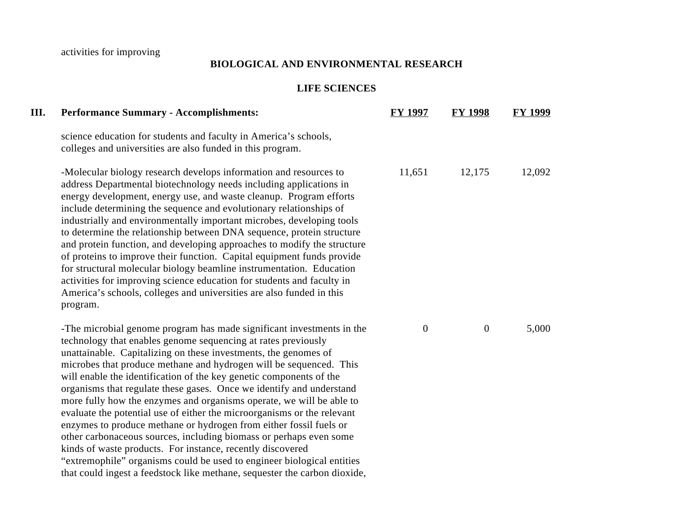activities for improving

## **BIOLOGICAL AND ENVIRONMENTAL RESEARCH**

# **LIFE SCIENCES**

| Ш. | <b>Performance Summary - Accomplishments:</b>                                                                                                                                                                                                                                                                                                                                                                                                                                                                                                                                                                                                                                                                                                                                                                                                                                                                                                      | <b>FY 1997</b> | <b>FY 1998</b> | <b>FY 1999</b> |
|----|----------------------------------------------------------------------------------------------------------------------------------------------------------------------------------------------------------------------------------------------------------------------------------------------------------------------------------------------------------------------------------------------------------------------------------------------------------------------------------------------------------------------------------------------------------------------------------------------------------------------------------------------------------------------------------------------------------------------------------------------------------------------------------------------------------------------------------------------------------------------------------------------------------------------------------------------------|----------------|----------------|----------------|
|    | science education for students and faculty in America's schools,<br>colleges and universities are also funded in this program.                                                                                                                                                                                                                                                                                                                                                                                                                                                                                                                                                                                                                                                                                                                                                                                                                     |                |                |                |
|    | -Molecular biology research develops information and resources to<br>address Departmental biotechnology needs including applications in<br>energy development, energy use, and waste cleanup. Program efforts<br>include determining the sequence and evolutionary relationships of<br>industrially and environmentally important microbes, developing tools<br>to determine the relationship between DNA sequence, protein structure<br>and protein function, and developing approaches to modify the structure<br>of proteins to improve their function. Capital equipment funds provide<br>for structural molecular biology beamline instrumentation. Education<br>activities for improving science education for students and faculty in<br>America's schools, colleges and universities are also funded in this<br>program.                                                                                                                   | 11,651         | 12,175         | 12,092         |
|    | -The microbial genome program has made significant investments in the<br>technology that enables genome sequencing at rates previously<br>unattainable. Capitalizing on these investments, the genomes of<br>microbes that produce methane and hydrogen will be sequenced. This<br>will enable the identification of the key genetic components of the<br>organisms that regulate these gases. Once we identify and understand<br>more fully how the enzymes and organisms operate, we will be able to<br>evaluate the potential use of either the microorganisms or the relevant<br>enzymes to produce methane or hydrogen from either fossil fuels or<br>other carbonaceous sources, including biomass or perhaps even some<br>kinds of waste products. For instance, recently discovered<br>"extremophile" organisms could be used to engineer biological entities<br>that could ingest a feedstock like methane, sequester the carbon dioxide, | $\overline{0}$ | $\mathbf{0}$   | 5,000          |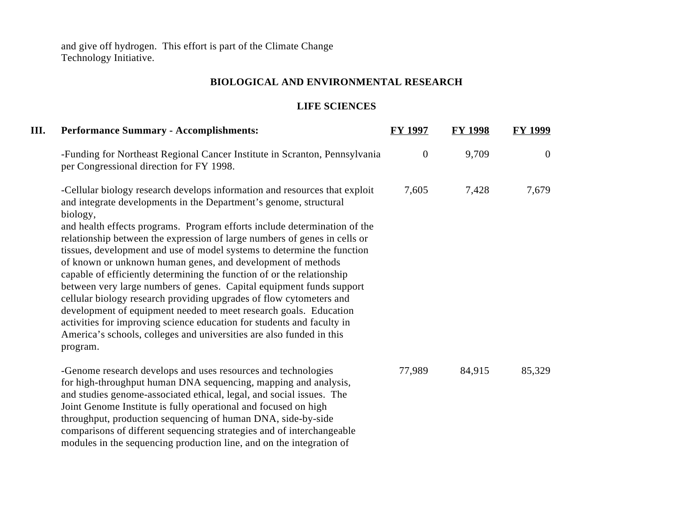and give off hydrogen. This effort is part of the Climate Change Technology Initiative.

# **BIOLOGICAL AND ENVIRONMENTAL RESEARCH**

# **LIFE SCIENCES**

| III. | <b>Performance Summary - Accomplishments:</b>                                                                                                                                                                                                                                                                                                                                                                                                                                                                                                                                                                                                                                                                                                                                                                                                                                                                               | <b>FY 1997</b> | <b>FY 1998</b> | <b>FY 1999</b> |
|------|-----------------------------------------------------------------------------------------------------------------------------------------------------------------------------------------------------------------------------------------------------------------------------------------------------------------------------------------------------------------------------------------------------------------------------------------------------------------------------------------------------------------------------------------------------------------------------------------------------------------------------------------------------------------------------------------------------------------------------------------------------------------------------------------------------------------------------------------------------------------------------------------------------------------------------|----------------|----------------|----------------|
|      | -Funding for Northeast Regional Cancer Institute in Scranton, Pennsylvania<br>per Congressional direction for FY 1998.                                                                                                                                                                                                                                                                                                                                                                                                                                                                                                                                                                                                                                                                                                                                                                                                      | $\mathbf{0}$   | 9,709          | $\overline{0}$ |
|      | -Cellular biology research develops information and resources that exploit<br>and integrate developments in the Department's genome, structural<br>biology,<br>and health effects programs. Program efforts include determination of the<br>relationship between the expression of large numbers of genes in cells or<br>tissues, development and use of model systems to determine the function<br>of known or unknown human genes, and development of methods<br>capable of efficiently determining the function of or the relationship<br>between very large numbers of genes. Capital equipment funds support<br>cellular biology research providing upgrades of flow cytometers and<br>development of equipment needed to meet research goals. Education<br>activities for improving science education for students and faculty in<br>America's schools, colleges and universities are also funded in this<br>program. | 7,605          | 7,428          | 7,679          |
|      | -Genome research develops and uses resources and technologies<br>for high-throughput human DNA sequencing, mapping and analysis,<br>and studies genome-associated ethical, legal, and social issues. The<br>Joint Genome Institute is fully operational and focused on high<br>throughput, production sequencing of human DNA, side-by-side<br>comparisons of different sequencing strategies and of interchangeable<br>modules in the sequencing production line, and on the integration of                                                                                                                                                                                                                                                                                                                                                                                                                                | 77,989         | 84,915         | 85,329         |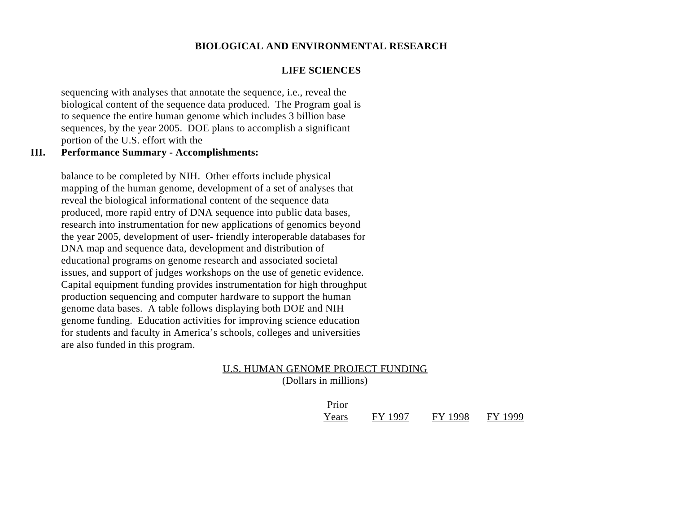#### **LIFE SCIENCES**

sequencing with analyses that annotate the sequence, i.e., reveal the biological content of the sequence data produced. The Program goal is to sequence the entire human genome which includes 3 billion base sequences, by the year 2005. DOE plans to accomplish a significant portion of the U.S. effort with the

### **III. Performance Summary - Accomplishments:**

balance to be completed by NIH. Other efforts include physical mapping of the human genome, development of a set of analyses that reveal the biological informational content of the sequence data produced, more rapid entry of DNA sequence into public data bases, research into instrumentation for new applications of genomics beyond the year 2005, development of user- friendly interoperable databases for DNA map and sequence data, development and distribution of educational programs on genome research and associated societal issues, and support of judges workshops on the use of genetic evidence. Capital equipment funding provides instrumentation for high throughput production sequencing and computer hardware to support the human genome data bases. A table follows displaying both DOE and NIH genome funding. Education activities for improving science education for students and faculty in America's schools, colleges and universities are also funded in this program.

### U.S. HUMAN GENOME PROJECT FUNDING (Dollars in millions)

| Prior |         |         |         |
|-------|---------|---------|---------|
| Years | FY 1997 | FY 1998 | FY 1999 |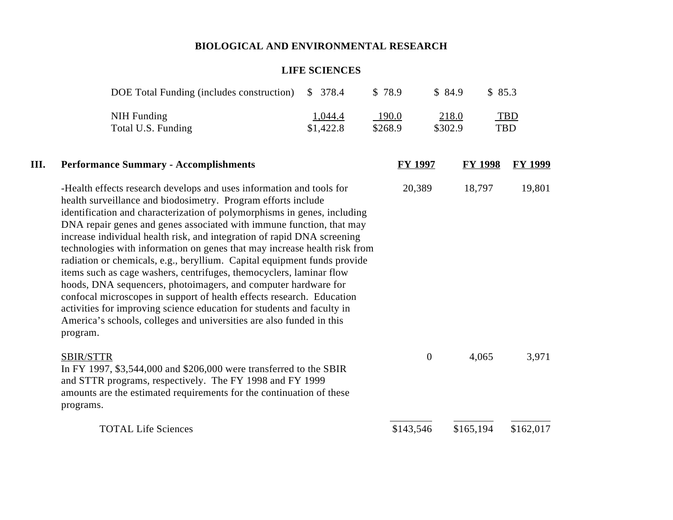## **LIFE SCIENCES**

|      | DOE Total Funding (includes construction)                                                                                                                                                                                                                                                                                                                                                                                                                                                                                                                                                                                                                                                                                                                                                                                                                                                                     | \$378.4              | \$78.9           | \$84.9           | \$85.3         |                          |
|------|---------------------------------------------------------------------------------------------------------------------------------------------------------------------------------------------------------------------------------------------------------------------------------------------------------------------------------------------------------------------------------------------------------------------------------------------------------------------------------------------------------------------------------------------------------------------------------------------------------------------------------------------------------------------------------------------------------------------------------------------------------------------------------------------------------------------------------------------------------------------------------------------------------------|----------------------|------------------|------------------|----------------|--------------------------|
|      | <b>NIH Funding</b><br>Total U.S. Funding                                                                                                                                                                                                                                                                                                                                                                                                                                                                                                                                                                                                                                                                                                                                                                                                                                                                      | 1,044.4<br>\$1,422.8 | 190.0<br>\$268.9 | 218.0<br>\$302.9 |                | <b>TBD</b><br><b>TBD</b> |
| III. | <b>Performance Summary - Accomplishments</b>                                                                                                                                                                                                                                                                                                                                                                                                                                                                                                                                                                                                                                                                                                                                                                                                                                                                  |                      | <b>FY 1997</b>   |                  | <b>FY 1998</b> | <b>FY 1999</b>           |
|      | -Health effects research develops and uses information and tools for<br>health surveillance and biodosimetry. Program efforts include<br>identification and characterization of polymorphisms in genes, including<br>DNA repair genes and genes associated with immune function, that may<br>increase individual health risk, and integration of rapid DNA screening<br>technologies with information on genes that may increase health risk from<br>radiation or chemicals, e.g., beryllium. Capital equipment funds provide<br>items such as cage washers, centrifuges, themocyclers, laminar flow<br>hoods, DNA sequencers, photoimagers, and computer hardware for<br>confocal microscopes in support of health effects research. Education<br>activities for improving science education for students and faculty in<br>America's schools, colleges and universities are also funded in this<br>program. |                      | 20,389           |                  | 18,797         | 19,801                   |
|      | SBIR/STTR<br>In FY 1997, \$3,544,000 and \$206,000 were transferred to the SBIR<br>and STTR programs, respectively. The FY 1998 and FY 1999<br>amounts are the estimated requirements for the continuation of these<br>programs.                                                                                                                                                                                                                                                                                                                                                                                                                                                                                                                                                                                                                                                                              |                      |                  | $\overline{0}$   | 4,065          | 3,971                    |
|      | <b>TOTAL Life Sciences</b>                                                                                                                                                                                                                                                                                                                                                                                                                                                                                                                                                                                                                                                                                                                                                                                                                                                                                    |                      | \$143,546        |                  | \$165,194      | \$162,017                |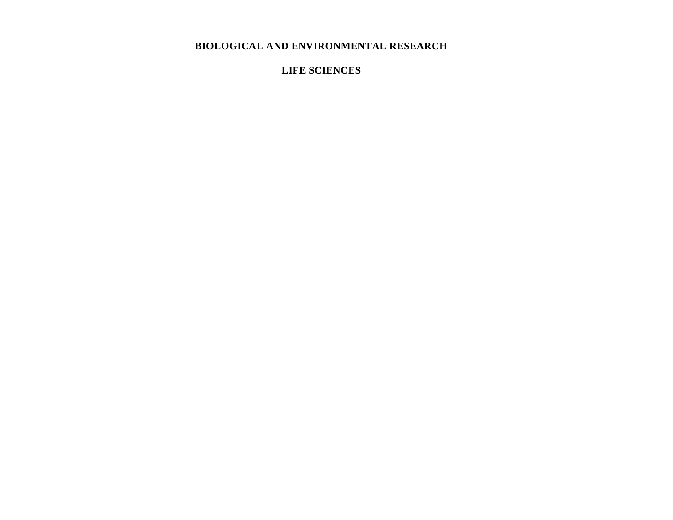**LIFE SCIENCES**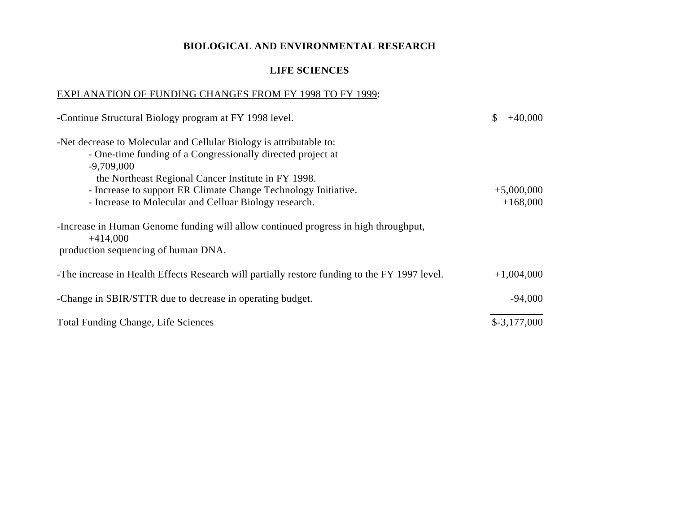## **LIFE SCIENCES**

### EXPLANATION OF FUNDING CHANGES FROM FY 1998 TO FY 1999:

| -Continue Structural Biology program at FY 1998 level.                                                                                                                                                                                                                                                                               | \$<br>$+40,000$            |
|--------------------------------------------------------------------------------------------------------------------------------------------------------------------------------------------------------------------------------------------------------------------------------------------------------------------------------------|----------------------------|
| -Net decrease to Molecular and Cellular Biology is attributable to:<br>- One-time funding of a Congressionally directed project at<br>$-9,709,000$<br>the Northeast Regional Cancer Institute in FY 1998.<br>- Increase to support ER Climate Change Technology Initiative.<br>- Increase to Molecular and Celluar Biology research. | $+5,000,000$<br>$+168,000$ |
| -Increase in Human Genome funding will allow continued progress in high throughput,<br>$+414,000$<br>production sequencing of human DNA.                                                                                                                                                                                             |                            |
| -The increase in Health Effects Research will partially restore funding to the FY 1997 level.                                                                                                                                                                                                                                        | $+1,004,000$               |
| -Change in SBIR/STTR due to decrease in operating budget.                                                                                                                                                                                                                                                                            | $-94,000$                  |
| <b>Total Funding Change, Life Sciences</b>                                                                                                                                                                                                                                                                                           | $$-3,177,000$              |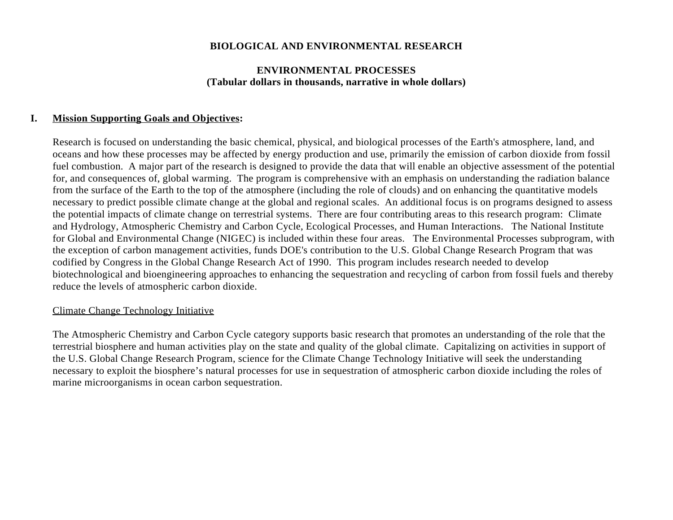### **ENVIRONMENTAL PROCESSES (Tabular dollars in thousands, narrative in whole dollars)**

### **I. Mission Supporting Goals and Objectives:**

Research is focused on understanding the basic chemical, physical, and biological processes of the Earth's atmosphere, land, and oceans and how these processes may be affected by energy production and use, primarily the emission of carbon dioxide from fossil fuel combustion. A major part of the research is designed to provide the data that will enable an objective assessment of the potential for, and consequences of, global warming. The program is comprehensive with an emphasis on understanding the radiation balance from the surface of the Earth to the top of the atmosphere (including the role of clouds) and on enhancing the quantitative models necessary to predict possible climate change at the global and regional scales. An additional focus is on programs designed to assess the potential impacts of climate change on terrestrial systems. There are four contributing areas to this research program: Climate and Hydrology, Atmospheric Chemistry and Carbon Cycle, Ecological Processes, and Human Interactions. The National Institute for Global and Environmental Change (NIGEC) is included within these four areas. The Environmental Processes subprogram, with the exception of carbon management activities, funds DOE's contribution to the U.S. Global Change Research Program that was codified by Congress in the Global Change Research Act of 1990. This program includes research needed to develop biotechnological and bioengineering approaches to enhancing the sequestration and recycling of carbon from fossil fuels and thereby reduce the levels of atmospheric carbon dioxide.

### Climate Change Technology Initiative

The Atmospheric Chemistry and Carbon Cycle category supports basic research that promotes an understanding of the role that the terrestrial biosphere and human activities play on the state and quality of the global climate. Capitalizing on activities in support of the U.S. Global Change Research Program, science for the Climate Change Technology Initiative will seek the understanding necessary to exploit the biosphere's natural processes for use in sequestration of atmospheric carbon dioxide including the roles of marine microorganisms in ocean carbon sequestration.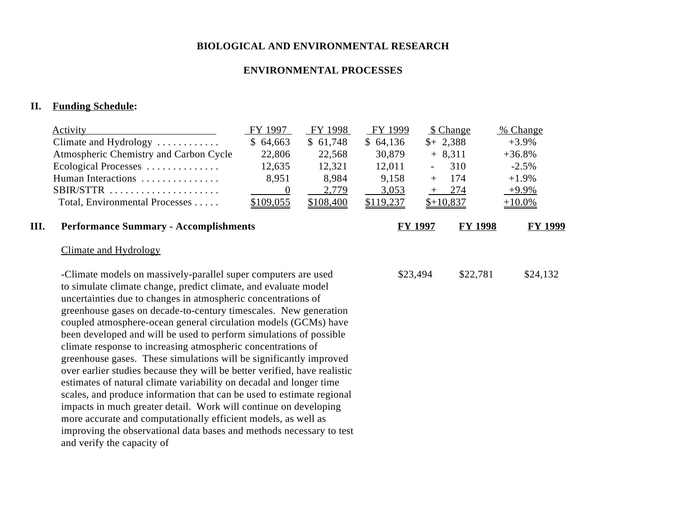## **ENVIRONMENTAL PROCESSES**

# **II. Funding Schedule:**

|      | <b>Activity</b>                                                                                                                                                                                                                                                                                                                                                                                                                                                                                                                                                                                                                                                                                                                                                                                                                                                                                                                                                                                                                | FY 1997        | FY 1998   | FY 1999   |                | \$ Change      | % Change       |
|------|--------------------------------------------------------------------------------------------------------------------------------------------------------------------------------------------------------------------------------------------------------------------------------------------------------------------------------------------------------------------------------------------------------------------------------------------------------------------------------------------------------------------------------------------------------------------------------------------------------------------------------------------------------------------------------------------------------------------------------------------------------------------------------------------------------------------------------------------------------------------------------------------------------------------------------------------------------------------------------------------------------------------------------|----------------|-----------|-----------|----------------|----------------|----------------|
|      | Climate and Hydrology                                                                                                                                                                                                                                                                                                                                                                                                                                                                                                                                                                                                                                                                                                                                                                                                                                                                                                                                                                                                          | \$64,663       | \$61,748  | \$64,136  |                | $$+2,388$      | $+3.9%$        |
|      | Atmospheric Chemistry and Carbon Cycle                                                                                                                                                                                                                                                                                                                                                                                                                                                                                                                                                                                                                                                                                                                                                                                                                                                                                                                                                                                         | 22,806         | 22,568    | 30,879    |                | $+8,311$       | $+36.8%$       |
|      | Ecological Processes                                                                                                                                                                                                                                                                                                                                                                                                                                                                                                                                                                                                                                                                                                                                                                                                                                                                                                                                                                                                           | 12,635         | 12,321    | 12,011    |                | 310            | $-2.5%$        |
|      | Human Interactions                                                                                                                                                                                                                                                                                                                                                                                                                                                                                                                                                                                                                                                                                                                                                                                                                                                                                                                                                                                                             | 8,951          | 8,984     | 9,158     | $+$            | 174            | $+1.9%$        |
|      | SBIR/STTR                                                                                                                                                                                                                                                                                                                                                                                                                                                                                                                                                                                                                                                                                                                                                                                                                                                                                                                                                                                                                      | $\overline{0}$ | 2,779     | 3,053     |                | $+ 274$        | $+9.9\%$       |
|      | Total, Environmental Processes                                                                                                                                                                                                                                                                                                                                                                                                                                                                                                                                                                                                                                                                                                                                                                                                                                                                                                                                                                                                 | \$109,055      | \$108,400 | \$119,237 |                | $$+10,837$     | $+10.0\%$      |
| III. | <b>Performance Summary - Accomplishments</b>                                                                                                                                                                                                                                                                                                                                                                                                                                                                                                                                                                                                                                                                                                                                                                                                                                                                                                                                                                                   |                |           |           | <b>FY 1997</b> | <b>FY 1998</b> | <b>FY 1999</b> |
|      | Climate and Hydrology                                                                                                                                                                                                                                                                                                                                                                                                                                                                                                                                                                                                                                                                                                                                                                                                                                                                                                                                                                                                          |                |           |           |                |                |                |
|      | -Climate models on massively-parallel super computers are used<br>to simulate climate change, predict climate, and evaluate model<br>uncertainties due to changes in atmospheric concentrations of<br>greenhouse gases on decade-to-century timescales. New generation<br>coupled atmosphere-ocean general circulation models (GCMs) have<br>been developed and will be used to perform simulations of possible<br>climate response to increasing atmospheric concentrations of<br>greenhouse gases. These simulations will be significantly improved<br>over earlier studies because they will be better verified, have realistic<br>estimates of natural climate variability on decadal and longer time<br>scales, and produce information that can be used to estimate regional<br>impacts in much greater detail. Work will continue on developing<br>more accurate and computationally efficient models, as well as<br>improving the observational data bases and methods necessary to test<br>and verify the capacity of |                |           | \$23,494  |                | \$22,781       | \$24,132       |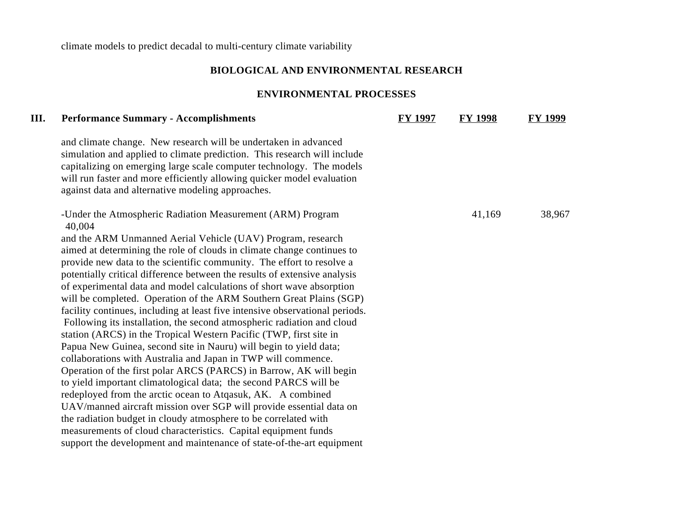climate models to predict decadal to multi-century climate variability

# **BIOLOGICAL AND ENVIRONMENTAL RESEARCH**

# **ENVIRONMENTAL PROCESSES**

| III. | <b>Performance Summary - Accomplishments</b>                                                                                                                                                                                                                                                                                                       | <b>FY 1997</b> | <b>FY 1998</b> | <b>FY 1999</b> |
|------|----------------------------------------------------------------------------------------------------------------------------------------------------------------------------------------------------------------------------------------------------------------------------------------------------------------------------------------------------|----------------|----------------|----------------|
|      | and climate change. New research will be undertaken in advanced<br>simulation and applied to climate prediction. This research will include<br>capitalizing on emerging large scale computer technology. The models<br>will run faster and more efficiently allowing quicker model evaluation<br>against data and alternative modeling approaches. |                |                |                |
|      | -Under the Atmospheric Radiation Measurement (ARM) Program<br>40,004                                                                                                                                                                                                                                                                               |                | 41,169         | 38,967         |
|      | and the ARM Unmanned Aerial Vehicle (UAV) Program, research                                                                                                                                                                                                                                                                                        |                |                |                |
|      | aimed at determining the role of clouds in climate change continues to                                                                                                                                                                                                                                                                             |                |                |                |
|      | provide new data to the scientific community. The effort to resolve a                                                                                                                                                                                                                                                                              |                |                |                |
|      | potentially critical difference between the results of extensive analysis                                                                                                                                                                                                                                                                          |                |                |                |
|      | of experimental data and model calculations of short wave absorption                                                                                                                                                                                                                                                                               |                |                |                |
|      | will be completed. Operation of the ARM Southern Great Plains (SGP)                                                                                                                                                                                                                                                                                |                |                |                |
|      | facility continues, including at least five intensive observational periods.                                                                                                                                                                                                                                                                       |                |                |                |
|      | Following its installation, the second atmospheric radiation and cloud                                                                                                                                                                                                                                                                             |                |                |                |
|      | station (ARCS) in the Tropical Western Pacific (TWP, first site in                                                                                                                                                                                                                                                                                 |                |                |                |
|      | Papua New Guinea, second site in Nauru) will begin to yield data;                                                                                                                                                                                                                                                                                  |                |                |                |
|      | collaborations with Australia and Japan in TWP will commence.                                                                                                                                                                                                                                                                                      |                |                |                |
|      | Operation of the first polar ARCS (PARCS) in Barrow, AK will begin                                                                                                                                                                                                                                                                                 |                |                |                |
|      | to yield important climatological data; the second PARCS will be                                                                                                                                                                                                                                                                                   |                |                |                |
|      | redeployed from the arctic ocean to Atqasuk, AK. A combined                                                                                                                                                                                                                                                                                        |                |                |                |
|      | UAV/manned aircraft mission over SGP will provide essential data on                                                                                                                                                                                                                                                                                |                |                |                |
|      | the radiation budget in cloudy atmosphere to be correlated with                                                                                                                                                                                                                                                                                    |                |                |                |
|      | measurements of cloud characteristics. Capital equipment funds                                                                                                                                                                                                                                                                                     |                |                |                |
|      | support the development and maintenance of state-of-the-art equipment                                                                                                                                                                                                                                                                              |                |                |                |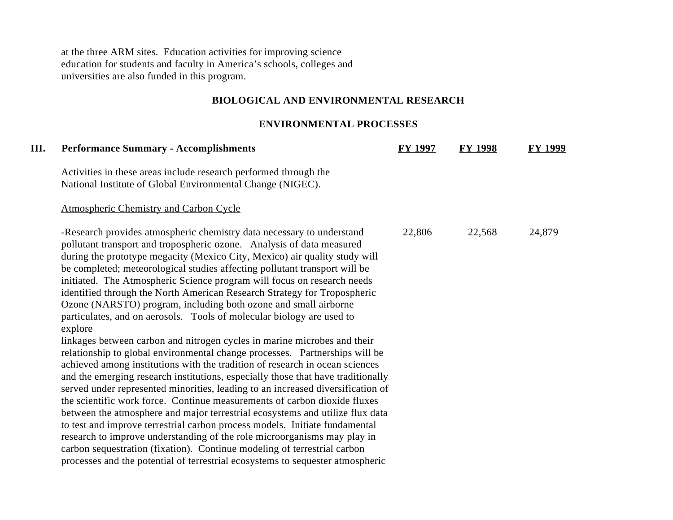at the three ARM sites. Education activities for improving science education for students and faculty in America's schools, colleges and universities are also funded in this program.

# **BIOLOGICAL AND ENVIRONMENTAL RESEARCH**

### **ENVIRONMENTAL PROCESSES**

| <b>Performance Summary - Accomplishments</b>                                                                                                                                                                                                                                                                                                                                                                                                                                                                                                                                                                                                                                                                                                                                                                                                                                                                                                                                                                                                                                                                                                                                                                                                                                                                                                                                                                                                    | <b>FY 1997</b> | <b>FY 1998</b> | FY 1999 |
|-------------------------------------------------------------------------------------------------------------------------------------------------------------------------------------------------------------------------------------------------------------------------------------------------------------------------------------------------------------------------------------------------------------------------------------------------------------------------------------------------------------------------------------------------------------------------------------------------------------------------------------------------------------------------------------------------------------------------------------------------------------------------------------------------------------------------------------------------------------------------------------------------------------------------------------------------------------------------------------------------------------------------------------------------------------------------------------------------------------------------------------------------------------------------------------------------------------------------------------------------------------------------------------------------------------------------------------------------------------------------------------------------------------------------------------------------|----------------|----------------|---------|
| Activities in these areas include research performed through the<br>National Institute of Global Environmental Change (NIGEC).                                                                                                                                                                                                                                                                                                                                                                                                                                                                                                                                                                                                                                                                                                                                                                                                                                                                                                                                                                                                                                                                                                                                                                                                                                                                                                                  |                |                |         |
| <b>Atmospheric Chemistry and Carbon Cycle</b>                                                                                                                                                                                                                                                                                                                                                                                                                                                                                                                                                                                                                                                                                                                                                                                                                                                                                                                                                                                                                                                                                                                                                                                                                                                                                                                                                                                                   |                |                |         |
| -Research provides atmospheric chemistry data necessary to understand<br>pollutant transport and tropospheric ozone. Analysis of data measured<br>during the prototype megacity (Mexico City, Mexico) air quality study will<br>be completed; meteorological studies affecting pollutant transport will be<br>initiated. The Atmospheric Science program will focus on research needs<br>identified through the North American Research Strategy for Tropospheric<br>Ozone (NARSTO) program, including both ozone and small airborne<br>particulates, and on aerosols. Tools of molecular biology are used to<br>explore<br>linkages between carbon and nitrogen cycles in marine microbes and their<br>relationship to global environmental change processes. Partnerships will be<br>achieved among institutions with the tradition of research in ocean sciences<br>and the emerging research institutions, especially those that have traditionally<br>served under represented minorities, leading to an increased diversification of<br>the scientific work force. Continue measurements of carbon dioxide fluxes<br>between the atmosphere and major terrestrial ecosystems and utilize flux data<br>to test and improve terrestrial carbon process models. Initiate fundamental<br>research to improve understanding of the role microorganisms may play in<br>carbon sequestration (fixation). Continue modeling of terrestrial carbon | 22,806         | 22,568         | 24,879  |
| processes and the potential of terrestrial ecosystems to sequester atmospheric                                                                                                                                                                                                                                                                                                                                                                                                                                                                                                                                                                                                                                                                                                                                                                                                                                                                                                                                                                                                                                                                                                                                                                                                                                                                                                                                                                  |                |                |         |
|                                                                                                                                                                                                                                                                                                                                                                                                                                                                                                                                                                                                                                                                                                                                                                                                                                                                                                                                                                                                                                                                                                                                                                                                                                                                                                                                                                                                                                                 |                |                |         |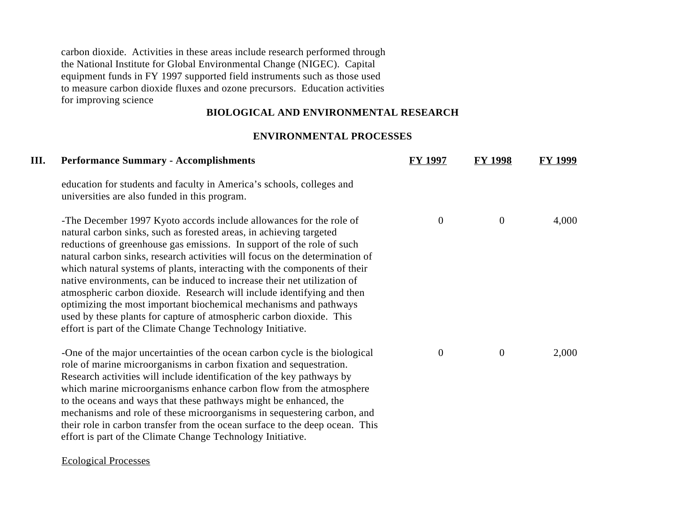carbon dioxide. Activities in these areas include research performed through the National Institute for Global Environmental Change (NIGEC). Capital equipment funds in FY 1997 supported field instruments such as those used to measure carbon dioxide fluxes and ozone precursors. Education activities for improving science

## **BIOLOGICAL AND ENVIRONMENTAL RESEARCH**

# **ENVIRONMENTAL PROCESSES**

| Ш. | <b>Performance Summary - Accomplishments</b>                                                                                                                                                                                                                                                                                                                                                                                                                                                                                                                                                                                                                                                                                                        | <b>FY 1997</b> | <b>FY 1998</b> | <b>FY 1999</b> |
|----|-----------------------------------------------------------------------------------------------------------------------------------------------------------------------------------------------------------------------------------------------------------------------------------------------------------------------------------------------------------------------------------------------------------------------------------------------------------------------------------------------------------------------------------------------------------------------------------------------------------------------------------------------------------------------------------------------------------------------------------------------------|----------------|----------------|----------------|
|    | education for students and faculty in America's schools, colleges and<br>universities are also funded in this program.                                                                                                                                                                                                                                                                                                                                                                                                                                                                                                                                                                                                                              |                |                |                |
|    | -The December 1997 Kyoto accords include allowances for the role of<br>natural carbon sinks, such as forested areas, in achieving targeted<br>reductions of greenhouse gas emissions. In support of the role of such<br>natural carbon sinks, research activities will focus on the determination of<br>which natural systems of plants, interacting with the components of their<br>native environments, can be induced to increase their net utilization of<br>atmospheric carbon dioxide. Research will include identifying and then<br>optimizing the most important biochemical mechanisms and pathways<br>used by these plants for capture of atmospheric carbon dioxide. This<br>effort is part of the Climate Change Technology Initiative. | $\overline{0}$ | $\overline{0}$ | 4,000          |
|    | -One of the major uncertainties of the ocean carbon cycle is the biological<br>role of marine microorganisms in carbon fixation and sequestration.<br>Research activities will include identification of the key pathways by<br>which marine microorganisms enhance carbon flow from the atmosphere<br>to the oceans and ways that these pathways might be enhanced, the<br>mechanisms and role of these microorganisms in sequestering carbon, and<br>their role in carbon transfer from the ocean surface to the deep ocean. This<br>effort is part of the Climate Change Technology Initiative.                                                                                                                                                  | $\overline{0}$ | $\mathbf{0}$   | 2,000          |

### Ecological Processes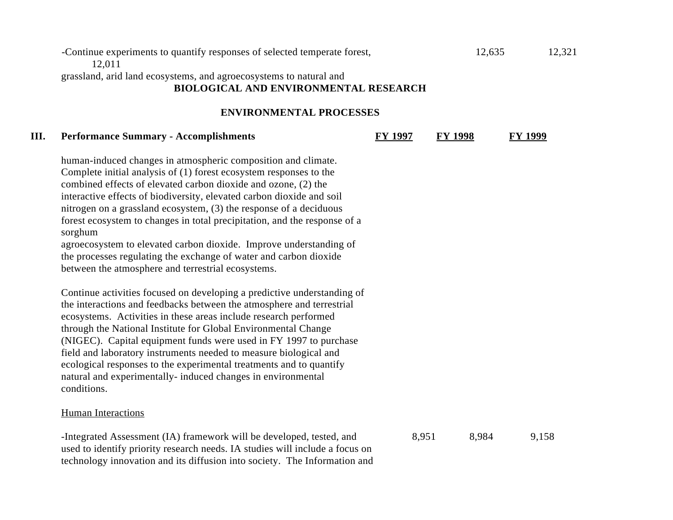## -Continue experiments to quantify responses of selected temperate forest, 12,635 12,321 12,011

grassland, arid land ecosystems, and agroecosystems to natural and

# **BIOLOGICAL AND ENVIRONMENTAL RESEARCH**

### **ENVIRONMENTAL PROCESSES**

### **III. Performance Summary - Accomplishments FY 1997 FY 1998 FY 1999**

human-induced changes in atmospheric composition and climate. Complete initial analysis of (1) forest ecosystem responses to the combined effects of elevated carbon dioxide and ozone, (2) the interactive effects of biodiversity, elevated carbon dioxide and soil nitrogen on a grassland ecosystem, (3) the response of a deciduous forest ecosystem to changes in total precipitation, and the response of a sorghum

agroecosystem to elevated carbon dioxide. Improve understanding of the processes regulating the exchange of water and carbon dioxide between the atmosphere and terrestrial ecosystems.

Continue activities focused on developing a predictive understanding of the interactions and feedbacks between the atmosphere and terrestrial ecosystems. Activities in these areas include research performed through the National Institute for Global Environmental Change (NIGEC). Capital equipment funds were used in FY 1997 to purchase field and laboratory instruments needed to measure biological and ecological responses to the experimental treatments and to quantify natural and experimentally- induced changes in environmental conditions.

### Human Interactions

-Integrated Assessment (IA) framework will be developed, tested, and 8,951 8,984 9,158 used to identify priority research needs. IA studies will include a focus on technology innovation and its diffusion into society. The Information and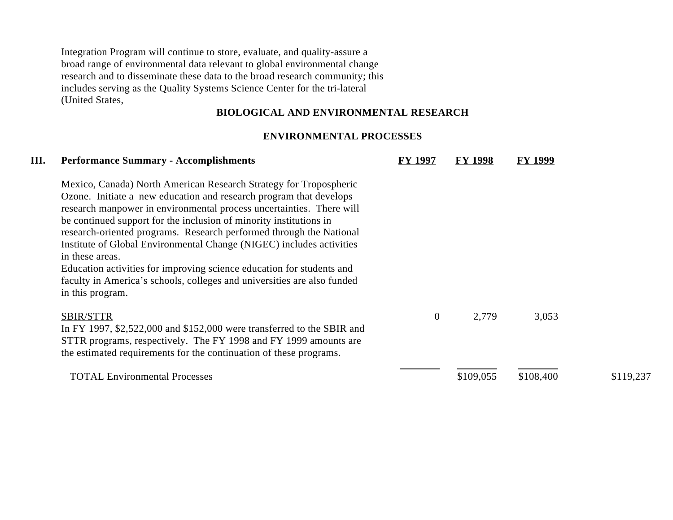Integration Program will continue to store, evaluate, and quality-assure a broad range of environmental data relevant to global environmental change research and to disseminate these data to the broad research community; this includes serving as the Quality Systems Science Center for the tri-lateral (United States,

# **BIOLOGICAL AND ENVIRONMENTAL RESEARCH**

### **ENVIRONMENTAL PROCESSES**

| III. | <b>Performance Summary - Accomplishments</b>                                                                                                                                                                                                                                                                                                                                                                                                                                                                                                                                                                                    | <b>FY 1997</b> | <b>FY 1998</b> | <b>FY 1999</b> |           |
|------|---------------------------------------------------------------------------------------------------------------------------------------------------------------------------------------------------------------------------------------------------------------------------------------------------------------------------------------------------------------------------------------------------------------------------------------------------------------------------------------------------------------------------------------------------------------------------------------------------------------------------------|----------------|----------------|----------------|-----------|
|      | Mexico, Canada) North American Research Strategy for Tropospheric<br>Ozone. Initiate a new education and research program that develops<br>research manpower in environmental process uncertainties. There will<br>be continued support for the inclusion of minority institutions in<br>research-oriented programs. Research performed through the National<br>Institute of Global Environmental Change (NIGEC) includes activities<br>in these areas.<br>Education activities for improving science education for students and<br>faculty in America's schools, colleges and universities are also funded<br>in this program. |                |                |                |           |
|      | <b>SBIR/STTR</b><br>In FY 1997, \$2,522,000 and \$152,000 were transferred to the SBIR and<br>STTR programs, respectively. The FY 1998 and FY 1999 amounts are<br>the estimated requirements for the continuation of these programs.                                                                                                                                                                                                                                                                                                                                                                                            | $\theta$       | 2,779          | 3,053          |           |
|      | <b>TOTAL Environmental Processes</b>                                                                                                                                                                                                                                                                                                                                                                                                                                                                                                                                                                                            |                | \$109,055      | \$108,400      | \$119,237 |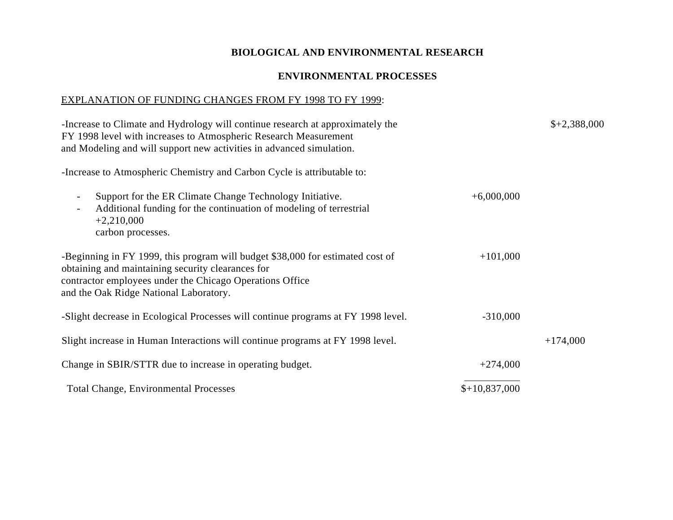# **ENVIRONMENTAL PROCESSES**

## EXPLANATION OF FUNDING CHANGES FROM FY 1998 TO FY 1999:

| -Increase to Climate and Hydrology will continue research at approximately the<br>FY 1998 level with increases to Atmospheric Research Measurement<br>and Modeling and will support new activities in advanced simulation.                |                | $$+2,388,000$ |
|-------------------------------------------------------------------------------------------------------------------------------------------------------------------------------------------------------------------------------------------|----------------|---------------|
| -Increase to Atmospheric Chemistry and Carbon Cycle is attributable to:                                                                                                                                                                   |                |               |
| Support for the ER Climate Change Technology Initiative.<br>$\overline{\phantom{a}}$<br>Additional funding for the continuation of modeling of terrestrial<br>$\overline{\phantom{a}}$<br>$+2,210,000$<br>carbon processes.               | $+6,000,000$   |               |
| -Beginning in FY 1999, this program will budget \$38,000 for estimated cost of<br>obtaining and maintaining security clearances for<br>contractor employees under the Chicago Operations Office<br>and the Oak Ridge National Laboratory. | $+101,000$     |               |
| -Slight decrease in Ecological Processes will continue programs at FY 1998 level.                                                                                                                                                         | $-310,000$     |               |
| Slight increase in Human Interactions will continue programs at FY 1998 level.                                                                                                                                                            |                | $+174,000$    |
| Change in SBIR/STTR due to increase in operating budget.                                                                                                                                                                                  | $+274,000$     |               |
| <b>Total Change, Environmental Processes</b>                                                                                                                                                                                              | $$+10,837,000$ |               |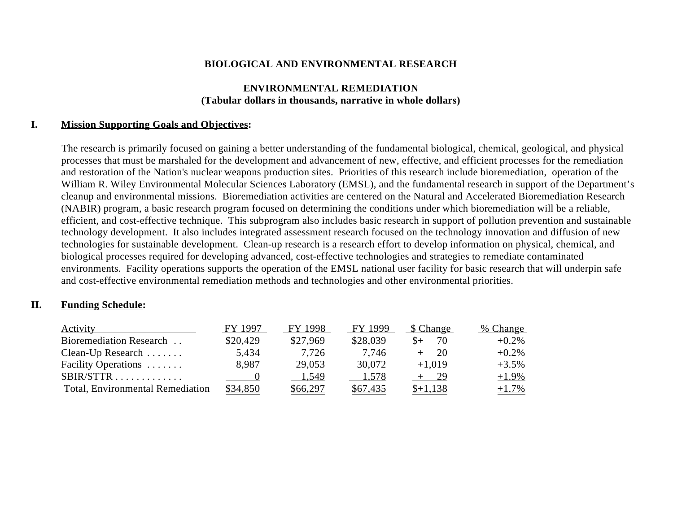## **ENVIRONMENTAL REMEDIATION (Tabular dollars in thousands, narrative in whole dollars)**

### **I. Mission Supporting Goals and Objectives:**

The research is primarily focused on gaining a better understanding of the fundamental biological, chemical, geological, and physical processes that must be marshaled for the development and advancement of new, effective, and efficient processes for the remediation and restoration of the Nation's nuclear weapons production sites. Priorities of this research include bioremediation, operation of the William R. Wiley Environmental Molecular Sciences Laboratory (EMSL), and the fundamental research in support of the Department's cleanup and environmental missions. Bioremediation activities are centered on the Natural and Accelerated Bioremediation Research (NABIR) program, a basic research program focused on determining the conditions under which bioremediation will be a reliable, efficient, and cost-effective technique. This subprogram also includes basic research in support of pollution prevention and sustainable technology development. It also includes integrated assessment research focused on the technology innovation and diffusion of new technologies for sustainable development. Clean-up research is a research effort to develop information on physical, chemical, and biological processes required for developing advanced, cost-effective technologies and strategies to remediate contaminated environments. Facility operations supports the operation of the EMSL national user facility for basic research that will underpin safe and cost-effective environmental remediation methods and technologies and other environmental priorities.

## **II. Funding Schedule:**

| <b>Activity</b>                         | FY 1997  | FY 1998  | FY 1999  | \$ Change | % Change |
|-----------------------------------------|----------|----------|----------|-----------|----------|
| Bioremediation Research                 | \$20,429 | \$27,969 | \$28,039 | 70        | $+0.2%$  |
| Clean-Up Research $\dots\dots$          | 5,434    | 7.726    | 7.746    | 20        | $+0.2\%$ |
| Facility Operations                     | 8.987    | 29,053   | 30,072   | $+1,019$  | $+3.5%$  |
| $SBIR/STTR$                             |          | 1,549    | 1,578    | 29        | $+1.9\%$ |
| <b>Total, Environmental Remediation</b> | \$34,850 | \$66,297 | \$67,435 |           | $+1.7\%$ |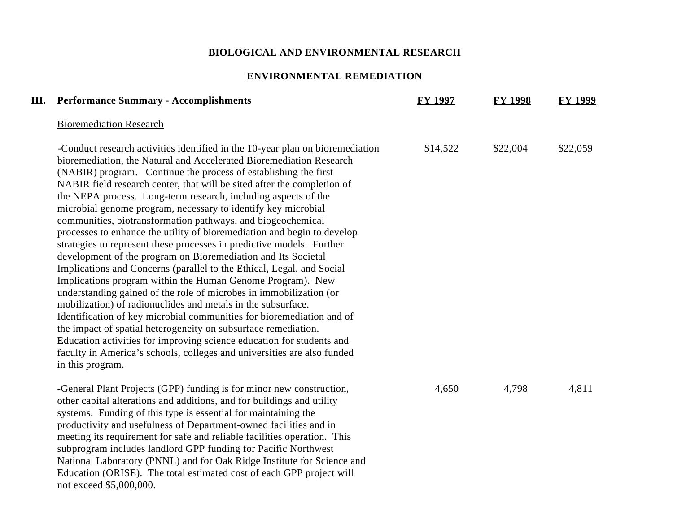## **ENVIRONMENTAL REMEDIATION**

| III. | <b>Performance Summary - Accomplishments</b>                                                                                                                                                                                                                                                                                                                                                                                                                                                                                                                                                                                                                                                                                                                                                                                                                                                                                                                                                                                                                                                                                                                                                                                                                                                                              | <b>FY 1997</b> | <b>FY 1998</b> | <b>FY 1999</b> |
|------|---------------------------------------------------------------------------------------------------------------------------------------------------------------------------------------------------------------------------------------------------------------------------------------------------------------------------------------------------------------------------------------------------------------------------------------------------------------------------------------------------------------------------------------------------------------------------------------------------------------------------------------------------------------------------------------------------------------------------------------------------------------------------------------------------------------------------------------------------------------------------------------------------------------------------------------------------------------------------------------------------------------------------------------------------------------------------------------------------------------------------------------------------------------------------------------------------------------------------------------------------------------------------------------------------------------------------|----------------|----------------|----------------|
|      | <b>Bioremediation Research</b>                                                                                                                                                                                                                                                                                                                                                                                                                                                                                                                                                                                                                                                                                                                                                                                                                                                                                                                                                                                                                                                                                                                                                                                                                                                                                            |                |                |                |
|      | -Conduct research activities identified in the 10-year plan on bioremediation<br>bioremediation, the Natural and Accelerated Bioremediation Research<br>(NABIR) program. Continue the process of establishing the first<br>NABIR field research center, that will be sited after the completion of<br>the NEPA process. Long-term research, including aspects of the<br>microbial genome program, necessary to identify key microbial<br>communities, biotransformation pathways, and biogeochemical<br>processes to enhance the utility of bioremediation and begin to develop<br>strategies to represent these processes in predictive models. Further<br>development of the program on Bioremediation and Its Societal<br>Implications and Concerns (parallel to the Ethical, Legal, and Social<br>Implications program within the Human Genome Program). New<br>understanding gained of the role of microbes in immobilization (or<br>mobilization) of radionuclides and metals in the subsurface.<br>Identification of key microbial communities for bioremediation and of<br>the impact of spatial heterogeneity on subsurface remediation.<br>Education activities for improving science education for students and<br>faculty in America's schools, colleges and universities are also funded<br>in this program. | \$14,522       | \$22,004       | \$22,059       |
|      | -General Plant Projects (GPP) funding is for minor new construction,<br>other capital alterations and additions, and for buildings and utility<br>systems. Funding of this type is essential for maintaining the<br>productivity and usefulness of Department-owned facilities and in<br>meeting its requirement for safe and reliable facilities operation. This<br>subprogram includes landlord GPP funding for Pacific Northwest<br>National Laboratory (PNNL) and for Oak Ridge Institute for Science and<br>Education (ORISE). The total estimated cost of each GPP project will                                                                                                                                                                                                                                                                                                                                                                                                                                                                                                                                                                                                                                                                                                                                     | 4,650          | 4,798          | 4,811          |

not exceed \$5,000,000.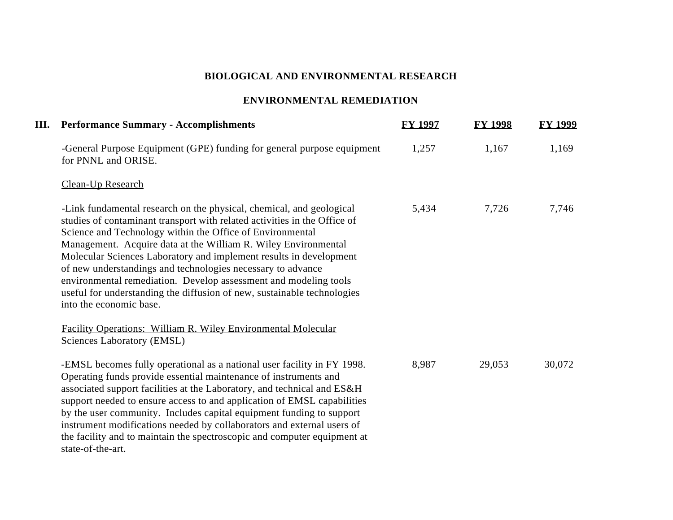# **ENVIRONMENTAL REMEDIATION**

| <b>III.</b> Performance Summary - Accomplishments                                                                                                                                                                                                                                                                                                                                                                                                                                                                                                                                               | <b>FY 1997</b> | <b>FY 1998</b> | <b>FY 1999</b> |
|-------------------------------------------------------------------------------------------------------------------------------------------------------------------------------------------------------------------------------------------------------------------------------------------------------------------------------------------------------------------------------------------------------------------------------------------------------------------------------------------------------------------------------------------------------------------------------------------------|----------------|----------------|----------------|
| -General Purpose Equipment (GPE) funding for general purpose equipment<br>for PNNL and ORISE.                                                                                                                                                                                                                                                                                                                                                                                                                                                                                                   | 1,257          | 1,167          | 1,169          |
| <b>Clean-Up Research</b>                                                                                                                                                                                                                                                                                                                                                                                                                                                                                                                                                                        |                |                |                |
| -Link fundamental research on the physical, chemical, and geological<br>studies of contaminant transport with related activities in the Office of<br>Science and Technology within the Office of Environmental<br>Management. Acquire data at the William R. Wiley Environmental<br>Molecular Sciences Laboratory and implement results in development<br>of new understandings and technologies necessary to advance<br>environmental remediation. Develop assessment and modeling tools<br>useful for understanding the diffusion of new, sustainable technologies<br>into the economic base. | 5,434          | 7,726          | 7,746          |
| <b>Facility Operations: William R. Wiley Environmental Molecular</b><br><b>Sciences Laboratory (EMSL)</b>                                                                                                                                                                                                                                                                                                                                                                                                                                                                                       |                |                |                |
| -EMSL becomes fully operational as a national user facility in FY 1998.<br>Operating funds provide essential maintenance of instruments and<br>associated support facilities at the Laboratory, and technical and ES&H<br>support needed to ensure access to and application of EMSL capabilities<br>by the user community. Includes capital equipment funding to support<br>instrument modifications needed by collaborators and external users of<br>the facility and to maintain the spectroscopic and computer equipment at<br>state-of-the-art.                                            | 8,987          | 29,053         | 30,072         |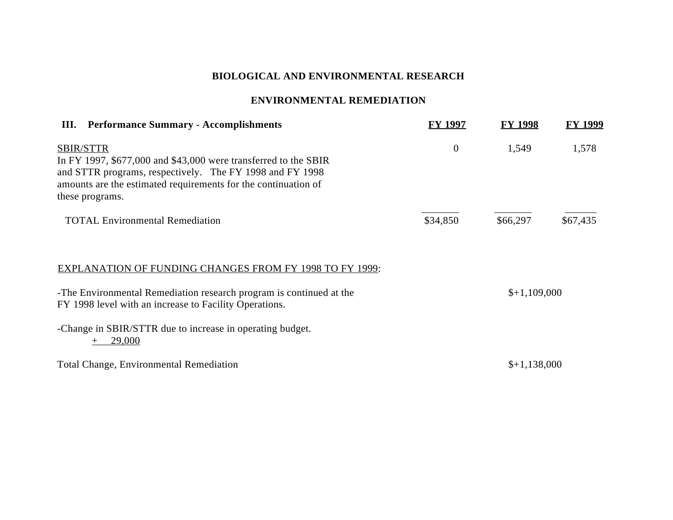# **ENVIRONMENTAL REMEDIATION**

| <b>III.</b> Performance Summary - Accomplishments                                                                                                                                                                                      | <b>FY 1997</b>   | <b>FY 1998</b> | FY 1999  |
|----------------------------------------------------------------------------------------------------------------------------------------------------------------------------------------------------------------------------------------|------------------|----------------|----------|
| <b>SBIR/STTR</b><br>In FY 1997, $$677,000$ and $$43,000$ were transferred to the SBIR<br>and STTR programs, respectively. The FY 1998 and FY 1998<br>amounts are the estimated requirements for the continuation of<br>these programs. | $\boldsymbol{0}$ | 1,549          | 1,578    |
| <b>TOTAL Environmental Remediation</b>                                                                                                                                                                                                 | \$34,850         | \$66,297       | \$67,435 |
| <b>EXPLANATION OF FUNDING CHANGES FROM FY 1998 TO FY 1999:</b>                                                                                                                                                                         |                  |                |          |
| -The Environmental Remediation research program is continued at the<br>FY 1998 level with an increase to Facility Operations.                                                                                                          |                  | $$+1,109,000$  |          |
| -Change in SBIR/STTR due to increase in operating budget.<br>29,000                                                                                                                                                                    |                  |                |          |
| <b>Total Change, Environmental Remediation</b>                                                                                                                                                                                         |                  | $$+1,138,000$  |          |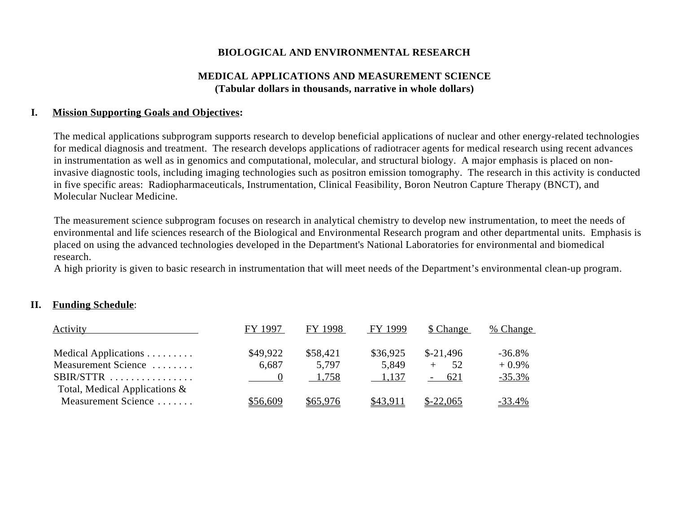## **MEDICAL APPLICATIONS AND MEASUREMENT SCIENCE (Tabular dollars in thousands, narrative in whole dollars)**

### **I. Mission Supporting Goals and Objectives:**

The medical applications subprogram supports research to develop beneficial applications of nuclear and other energy-related technologies for medical diagnosis and treatment. The research develops applications of radiotracer agents for medical research using recent advances in instrumentation as well as in genomics and computational, molecular, and structural biology. A major emphasis is placed on noninvasive diagnostic tools, including imaging technologies such as positron emission tomography. The research in this activity is conducted in five specific areas: Radiopharmaceuticals, Instrumentation, Clinical Feasibility, Boron Neutron Capture Therapy (BNCT), and Molecular Nuclear Medicine.

The measurement science subprogram focuses on research in analytical chemistry to develop new instrumentation, to meet the needs of environmental and life sciences research of the Biological and Environmental Research program and other departmental units. Emphasis is placed on using the advanced technologies developed in the Department's National Laboratories for environmental and biomedical research.

A high priority is given to basic research in instrumentation that will meet needs of the Department's environmental clean-up program.

## **II. Funding Schedule**:

| <b>Activity</b>                  | FY 1997  | FY 1998  | FY 1999  | \$ Change  | $%$ Change    |
|----------------------------------|----------|----------|----------|------------|---------------|
| Medical Applications             | \$49,922 | \$58,421 | \$36,925 | $$-21,496$ | $-36.8%$      |
| Measurement Science              | 6,687    | 5.797    | 5,849    | .52        | $+0.9\%$      |
| $SBIR/STTR$                      | $\sim$ 0 | 1.758    | 1.137    | $-621$     | $-35.3%$      |
| Total, Medical Applications $\&$ |          |          |          |            |               |
| Measurement Science              | \$56,609 | \$65,976 | \$43,911 | $$-22,065$ | <u>-33.4%</u> |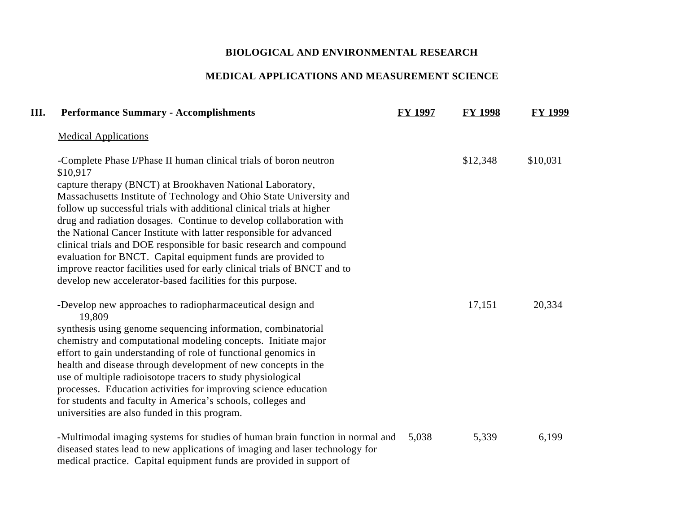# **MEDICAL APPLICATIONS AND MEASUREMENT SCIENCE**

| Ш. | <b>Performance Summary - Accomplishments</b>                                                                                                                                                                                          | <b>FY 1997</b> | <b>FY 1998</b> | <b>FY 1999</b> |
|----|---------------------------------------------------------------------------------------------------------------------------------------------------------------------------------------------------------------------------------------|----------------|----------------|----------------|
|    | <b>Medical Applications</b>                                                                                                                                                                                                           |                |                |                |
|    | -Complete Phase I/Phase II human clinical trials of boron neutron<br>\$10,917<br>capture therapy (BNCT) at Brookhaven National Laboratory,<br>Massachusetts Institute of Technology and Ohio State University and                     |                | \$12,348       | \$10,031       |
|    | follow up successful trials with additional clinical trials at higher<br>drug and radiation dosages. Continue to develop collaboration with                                                                                           |                |                |                |
|    | the National Cancer Institute with latter responsible for advanced<br>clinical trials and DOE responsible for basic research and compound<br>evaluation for BNCT. Capital equipment funds are provided to                             |                |                |                |
|    | improve reactor facilities used for early clinical trials of BNCT and to<br>develop new accelerator-based facilities for this purpose.                                                                                                |                |                |                |
|    | -Develop new approaches to radiopharmaceutical design and<br>19,809                                                                                                                                                                   |                | 17,151         | 20,334         |
|    | synthesis using genome sequencing information, combinatorial                                                                                                                                                                          |                |                |                |
|    | chemistry and computational modeling concepts. Initiate major                                                                                                                                                                         |                |                |                |
|    | effort to gain understanding of role of functional genomics in                                                                                                                                                                        |                |                |                |
|    | health and disease through development of new concepts in the                                                                                                                                                                         |                |                |                |
|    | use of multiple radioisotope tracers to study physiological                                                                                                                                                                           |                |                |                |
|    | processes. Education activities for improving science education                                                                                                                                                                       |                |                |                |
|    | for students and faculty in America's schools, colleges and<br>universities are also funded in this program.                                                                                                                          |                |                |                |
|    | -Multimodal imaging systems for studies of human brain function in normal and<br>diseased states lead to new applications of imaging and laser technology for<br>medical practice. Capital equipment funds are provided in support of | 5,038          | 5,339          | 6,199          |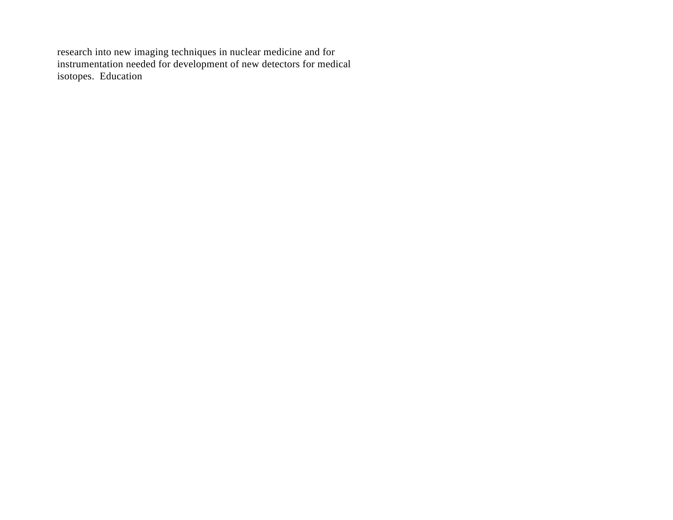research into new imaging techniques in nuclear medicine and for instrumentation needed for development of new detectors for medical isotopes. Education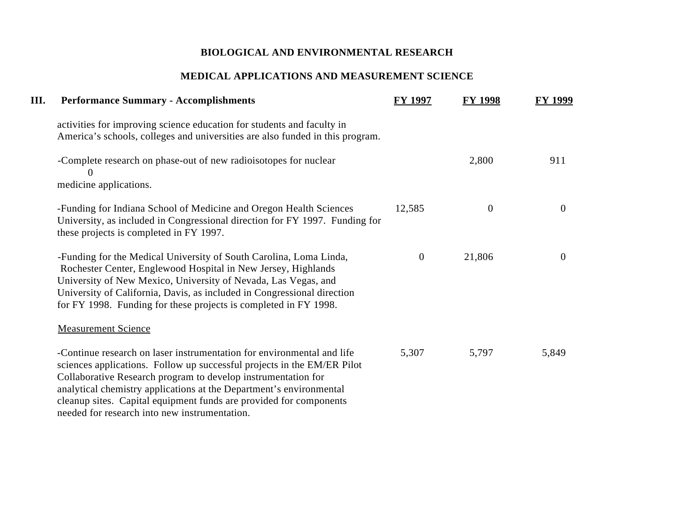# **MEDICAL APPLICATIONS AND MEASUREMENT SCIENCE**

| III. | <b>Performance Summary - Accomplishments</b>                                                                                                                                                                                                                                                                                                                                                                     | <b>FY 1997</b> | <b>FY 1998</b> | FY 1999        |
|------|------------------------------------------------------------------------------------------------------------------------------------------------------------------------------------------------------------------------------------------------------------------------------------------------------------------------------------------------------------------------------------------------------------------|----------------|----------------|----------------|
|      | activities for improving science education for students and faculty in<br>America's schools, colleges and universities are also funded in this program.                                                                                                                                                                                                                                                          |                |                |                |
|      | -Complete research on phase-out of new radioisotopes for nuclear<br>O                                                                                                                                                                                                                                                                                                                                            |                | 2,800          | 911            |
|      | medicine applications.                                                                                                                                                                                                                                                                                                                                                                                           |                |                |                |
|      | -Funding for Indiana School of Medicine and Oregon Health Sciences<br>University, as included in Congressional direction for FY 1997. Funding for<br>these projects is completed in FY 1997.                                                                                                                                                                                                                     | 12,585         | $\mathbf{0}$   | $\overline{0}$ |
|      | -Funding for the Medical University of South Carolina, Loma Linda,<br>Rochester Center, Englewood Hospital in New Jersey, Highlands<br>University of New Mexico, University of Nevada, Las Vegas, and<br>University of California, Davis, as included in Congressional direction<br>for FY 1998. Funding for these projects is completed in FY 1998.                                                             | $\mathbf{0}$   | 21,806         | $\overline{0}$ |
|      | <b>Measurement Science</b>                                                                                                                                                                                                                                                                                                                                                                                       |                |                |                |
|      | -Continue research on laser instrumentation for environmental and life<br>sciences applications. Follow up successful projects in the EM/ER Pilot<br>Collaborative Research program to develop instrumentation for<br>analytical chemistry applications at the Department's environmental<br>cleanup sites. Capital equipment funds are provided for components<br>needed for research into new instrumentation. | 5,307          | 5,797          | 5,849          |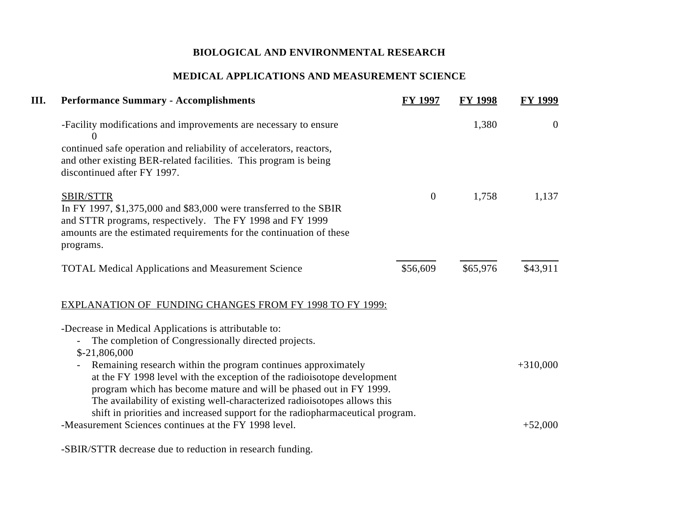# **MEDICAL APPLICATIONS AND MEASUREMENT SCIENCE**

| III. | <b>Performance Summary - Accomplishments</b>                                                                                                                                                                                                                                                                                                                                                              | <b>FY 1997</b> | <b>FY 1998</b> | <b>FY 1999</b> |
|------|-----------------------------------------------------------------------------------------------------------------------------------------------------------------------------------------------------------------------------------------------------------------------------------------------------------------------------------------------------------------------------------------------------------|----------------|----------------|----------------|
|      | -Facility modifications and improvements are necessary to ensure                                                                                                                                                                                                                                                                                                                                          |                | 1,380          | $\overline{0}$ |
|      | continued safe operation and reliability of accelerators, reactors,<br>and other existing BER-related facilities. This program is being<br>discontinued after FY 1997.                                                                                                                                                                                                                                    |                |                |                |
|      | <b>SBIR/STTR</b>                                                                                                                                                                                                                                                                                                                                                                                          | $\mathbf{0}$   | 1,758          | 1,137          |
|      | In FY 1997, \$1,375,000 and \$83,000 were transferred to the SBIR<br>and STTR programs, respectively. The FY 1998 and FY 1999<br>amounts are the estimated requirements for the continuation of these<br>programs.                                                                                                                                                                                        |                |                |                |
|      | <b>TOTAL Medical Applications and Measurement Science</b>                                                                                                                                                                                                                                                                                                                                                 | \$56,609       | \$65,976       | \$43,911       |
|      | <b>EXPLANATION OF FUNDING CHANGES FROM FY 1998 TO FY 1999:</b>                                                                                                                                                                                                                                                                                                                                            |                |                |                |
|      | -Decrease in Medical Applications is attributable to:<br>The completion of Congressionally directed projects.                                                                                                                                                                                                                                                                                             |                |                |                |
|      | $$-21,806,000$                                                                                                                                                                                                                                                                                                                                                                                            |                |                |                |
|      | Remaining research within the program continues approximately<br>$\overline{\phantom{a}}$<br>at the FY 1998 level with the exception of the radioisotope development<br>program which has become mature and will be phased out in FY 1999.<br>The availability of existing well-characterized radioisotopes allows this<br>shift in priorities and increased support for the radiopharmaceutical program. |                |                | $+310,000$     |
|      | -Measurement Sciences continues at the FY 1998 level.                                                                                                                                                                                                                                                                                                                                                     |                |                | $+52,000$      |
|      |                                                                                                                                                                                                                                                                                                                                                                                                           |                |                |                |

-SBIR/STTR decrease due to reduction in research funding.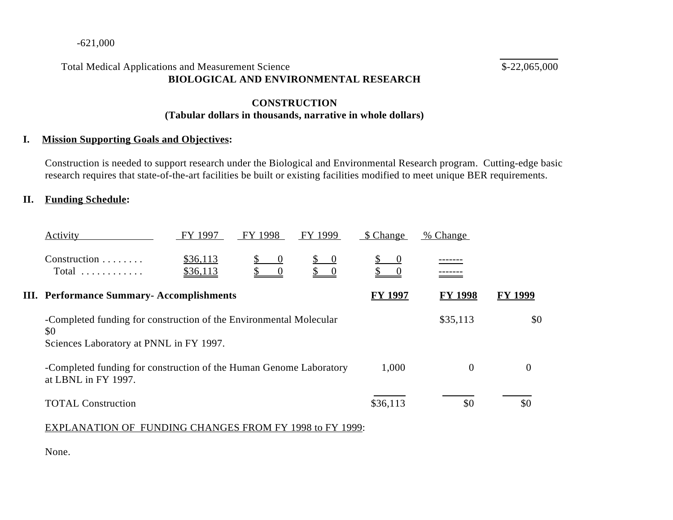### -621,000

# Total Medical Applications and Measurement Science  $$-22,065,000$ **BIOLOGICAL AND ENVIRONMENTAL RESEARCH**

 $\overline{a}$ 

# **CONSTRUCTION (Tabular dollars in thousands, narrative in whole dollars)**

## **I. Mission Supporting Goals and Objectives:**

Construction is needed to support research under the Biological and Environmental Research program. Cutting-edge basic research requires that state-of-the-art facilities be built or existing facilities modified to meet unique BER requirements.

### **II. Funding Schedule:**

| Activity                                                                                                             | FY 1997                                                            | FY 1998  | FY 1999                                                     | \$ Change | % Change |                |  |
|----------------------------------------------------------------------------------------------------------------------|--------------------------------------------------------------------|----------|-------------------------------------------------------------|-----------|----------|----------------|--|
| Construction<br>$Total$                                                                                              | \$36,113<br>\$36,113                                               | $\theta$ | $\begin{matrix} 0 \end{matrix}$<br>$\overline{\phantom{0}}$ | 0         |          |                |  |
|                                                                                                                      | <b>III.</b> Performance Summary-Accomplishments                    |          |                                                             |           |          | <b>FY 1999</b> |  |
| -Completed funding for construction of the Environmental Molecular<br>\$0<br>Sciences Laboratory at PNNL in FY 1997. |                                                                    |          | \$35,113                                                    | \$0       |          |                |  |
| at LBNL in FY 1997.                                                                                                  | -Completed funding for construction of the Human Genome Laboratory |          |                                                             |           |          | 0              |  |
| <b>TOTAL Construction</b>                                                                                            |                                                                    |          |                                                             |           |          | \$0            |  |

### EXPLANATION OF FUNDING CHANGES FROM FY 1998 to FY 1999:

None.